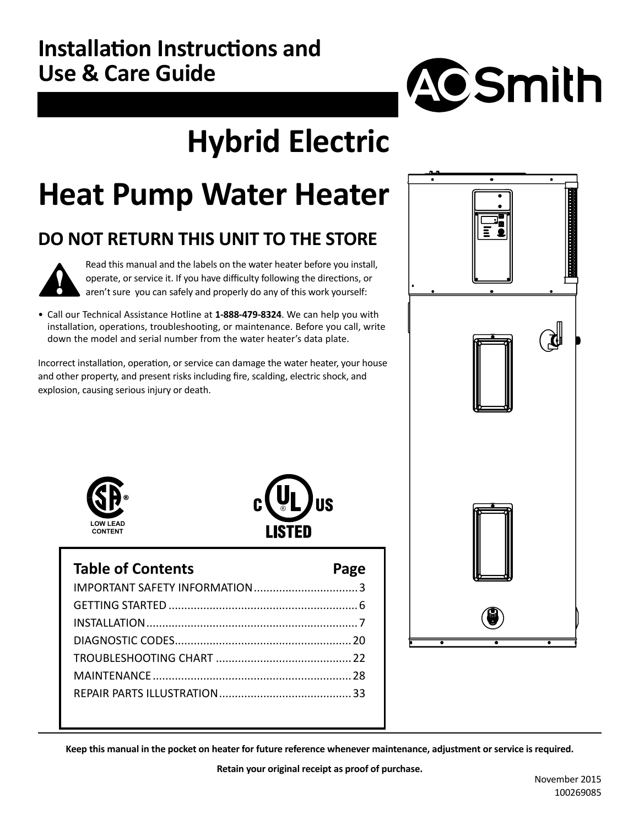## **Installation Instructions and Use & Care Guide**



# **Hybrid Electric**

# **Heat Pump Water Heater**

## **DO NOT RETURN THIS UNIT TO THE STORE**

Read this manual and the labels on the water heater before you install, operate, or service it. If you have difficulty following the directions, or aren't sure you can safely and properly do any of this work yourself:

• Call our Technical Assistance Hotline at **1-888-479-8324** . We can help you with installation, operations, troubleshooting, or maintenance. Before you call, write down the model and serial number from the water heater's data plate.

Incorrect installation, operation, or service can damage the water heater, your house and other property, and present risks including fire, scalding, electric shock, and explosion, causing serious injury or death.



**LOW LEAD CONTENT**



| <b>Table of Contents</b>       | Page |
|--------------------------------|------|
| IMPORTANT SAFETY INFORMATION 3 |      |
|                                |      |
|                                |      |
|                                |      |
|                                |      |
|                                |      |
|                                |      |
|                                |      |

**Keep this manual in the pocket on heater for future reference whenever maintenance, adjustment or service is required.**

**Retain your original receipt as proof of purchase.**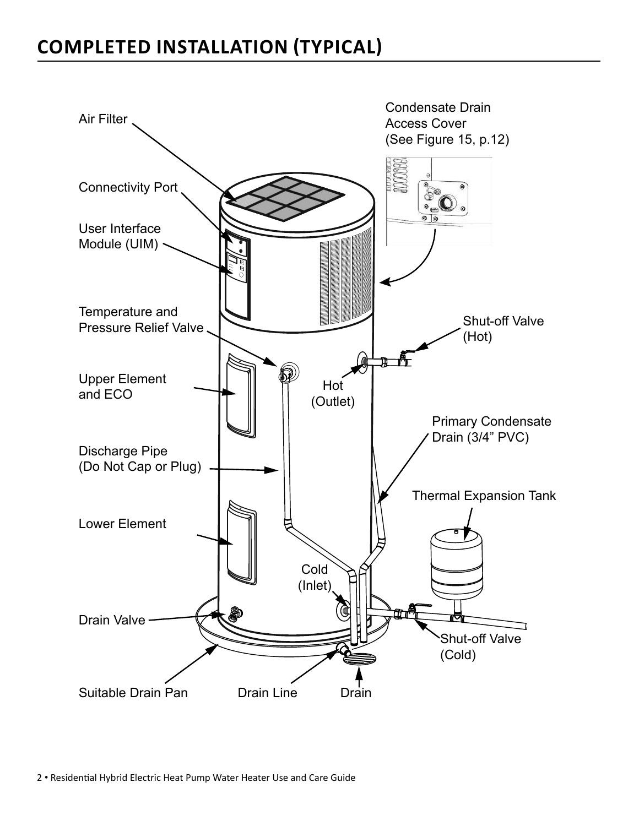## **COMPLETED INSTALLATION ΈTYPICALΉ**

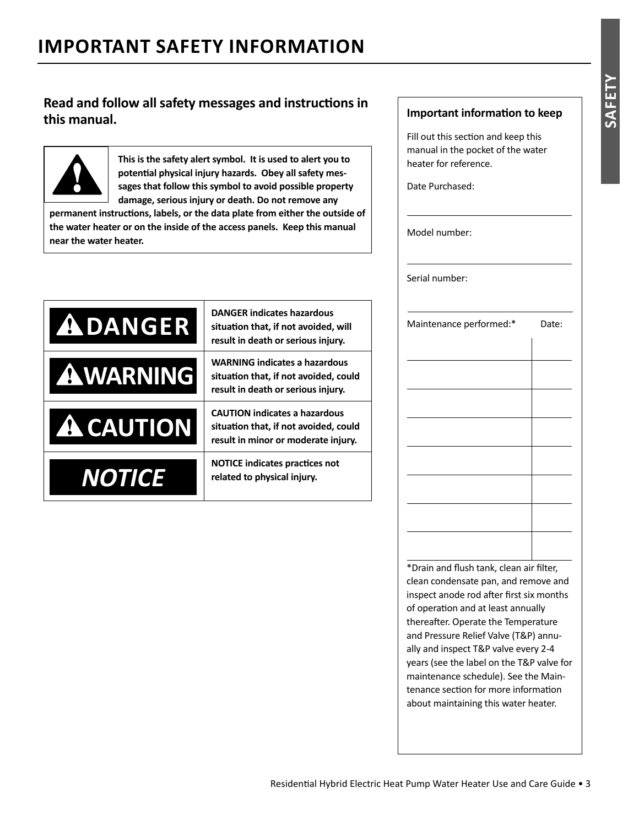## **IMPORTANT SAFETY INFORMATION**

#### **Read and follow all safety messages and instructions in this manual.**



**This is the safety alert symbol. It is used to alert you to** potential physical injury hazards. Obey all safety mes**sages that follow this symbol to avoid possible property damage, serious injury or death. Do not remove any** 

permanent instructions, labels, or the data plate from either the outside of **the water heater or on the inside of the access panels. Keep this manual near the water heater.**

| <b>ADANGER</b>   | <b>DANGER indicates hazardous</b><br>situation that, if not avoided, will<br>result in death or serious injury.      |
|------------------|----------------------------------------------------------------------------------------------------------------------|
| <b>AWARNING</b>  | <b>WARNING indicates a hazardous</b><br>situation that, if not avoided, could<br>result in death or serious injury.  |
| <b>A CAUTION</b> | <b>CAUTION indicates a hazardous</b><br>situation that, if not avoided, could<br>result in minor or moderate injury. |
| NOTICE           | <b>NOTICE indicates practices not</b><br>related to physical injury.                                                 |

#### **Important information to keep**

Fill out this section and keep this manual in the pocket of the water heater for reference.

Date Purchased:

Model number:

Serial number:

| Maintenance performed:*                                                           | Date: |
|-----------------------------------------------------------------------------------|-------|
|                                                                                   |       |
|                                                                                   |       |
|                                                                                   |       |
|                                                                                   |       |
|                                                                                   |       |
|                                                                                   |       |
|                                                                                   |       |
|                                                                                   |       |
| *Drain and flush tank, clean air filter,<br>clean condensate pan, and remove and  |       |
| inspect anode rod after first six months<br>of operation and at least annually    |       |
| thereafter. Operate the Temperature<br>and Pressure Relief Valve (T&P) annu-      |       |
| ally and inspect T&P valve every 2-4                                              |       |
| years (see the label on the T&P valve for<br>maintenance schedule). See the Main- |       |
| tenance section for more information<br>about maintaining this water heater.      |       |
|                                                                                   |       |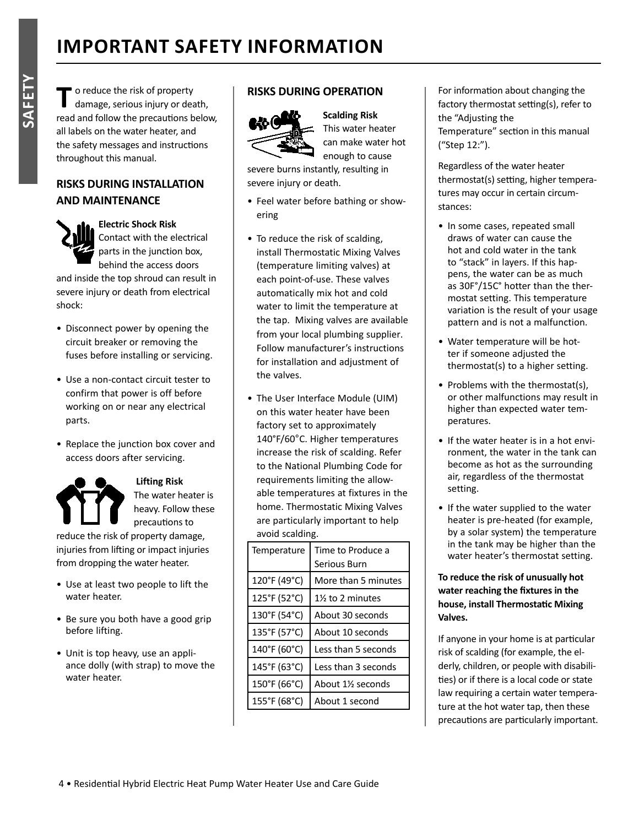throughout this manual.

#### **RISKS DURING INSTALLATION AND MAINTENANCE**



#### **Electric Shock Risk** Contact with the electrical

parts in the junction box, behind the access doors

and inside the top shroud can result in severe injury or death from electrical shock:

- Disconnect power by opening the circuit breaker or removing the fuses before installing or servicing.
- Use a non-contact circuit tester to confirm that power is off before working on or near any electrical parts.
- Replace the junction box cover and access doors after servicing.



 **Lifting Risk**  The water heater is heavy. Follow these precautions to

reduce the risk of property damage, injuries from lifting or impact injuries from dropping the water heater.

- Use at least two people to lift the water heater.
- Be sure you both have a good grip before lifting.
- Unit is top heavy, use an appliance dolly (with strap) to move the water heater.

#### **RISKS DURING OPERATION**



**Scalding Risk** This water heater can make water hot enough to cause

severe burns instantly, resulting in severe injury or death.

- Feel water before bathing or showering
- To reduce the risk of scalding, install Thermostatic Mixing Valves (temperature limiting valves) at each point-of-use. These valves automatically mix hot and cold water to limit the temperature at the tap. Mixing valves are available from your local plumbing supplier. Follow manufacturer's instructions for installation and adjustment of the valves.
- The User Interface Module (UIM) on this water heater have been factory set to approximately 140°F/60°C. Higher temperatures increase the risk of scalding. Refer to the National Plumbing Code for requirements limiting the allowable temperatures at fixtures in the home. Thermostatic Mixing Valves are particularly important to help avoid scalding.

| Temperature  | Time to Produce a<br>Serious Burn |
|--------------|-----------------------------------|
| 120°F (49°C) | More than 5 minutes               |
| 125°F (52°C) | 1½ to 2 minutes                   |
| 130°F (54°C) | About 30 seconds                  |
| 135°F (57°C) | About 10 seconds                  |
| 140°F (60°C) | Less than 5 seconds               |
| 145°F (63°C) | Less than 3 seconds               |
| 150°F (66°C) | About 1½ seconds                  |
| 155°F (68°C) | About 1 second                    |

#### For information about changing the factory thermostat setting(s), refer to the "Adjusting the Temperature" section in this manual ("Step 12:").

 Regardless of the water heater thermostat(s) setting, higher temperatures may occur in certain circumstances:

- In some cases, repeated small draws of water can cause the hot and cold water in the tank to "stack" in layers. If this happens, the water can be as much as 30F°/15C° hotter than the thermostat setting. This temperature variation is the result of your usage pattern and is not a malfunction.
- Water temperature will be hotter if someone adjusted the thermostat(s) to a higher setting.
- Problems with the thermostat(s), or other malfunctions may result in higher than expected water temperatures.
- If the water heater is in a hot environment, the water in the tank can become as hot as the surrounding air, regardless of the thermostat setting.
- If the water supplied to the water heater is pre-heated (for example, by a solar system) the temperature in the tank may be higher than the water heater's thermostat setting.

#### **To reduce the risk of unusually hot**  water reaching the fixtures in the **house, install ThermostaƟ c Mixing Valves.**

If anyone in your home is at particular risk of scalding (for example, the elderly, children, or people with disabili-Ɵ es) or if there is a local code or state law requiring a certain water temperature at the hot water tap, then these precautions are particularly important.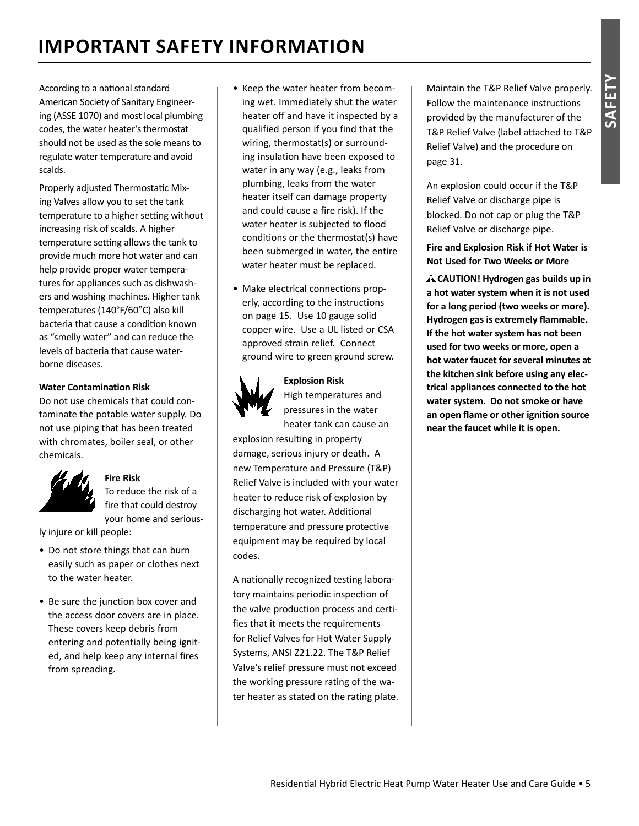## **IMPORTANT SAFETY INFORMATION**

According to a national standard American Society of Sanitary Engineering (ASSE 1070) and most local plumbing codes, the water heater's thermostat should not be used as the sole means to regulate water temperature and avoid scalds.

Properly adjusted Thermostatic Mixing Valves allow you to set the tank temperature to a higher setting without increasing risk of scalds. A higher temperature setting allows the tank to provide much more hot water and can help provide proper water temperatures for appliances such as dishwashers and washing machines. Higher tank temperatures (140°F/60°C) also kill bacteria that cause a condition known as "smelly water" and can reduce the levels of bacteria that cause waterborne diseases.

#### **Water Contamination Risk**

Do not use chemicals that could contaminate the potable water supply. Do not use piping that has been treated with chromates, boiler seal, or other chemicals.



#### **Fire Risk** To reduce the risk of a fire that could destroy

your home and serious-

ly injure or kill people:

- Do not store things that can burn easily such as paper or clothes next to the water heater.
- Be sure the junction box cover and the access door covers are in place. These covers keep debris from entering and potentially being ignited, and help keep any internal fires from spreading.
- Keep the water heater from becoming wet. Immediately shut the water heater off and have it inspected by a qualified person if you find that the wiring, thermostat(s) or surrounding insulation have been exposed to water in any way (e.g., leaks from plumbing, leaks from the water heater itself can damage property and could cause a fire risk). If the water heater is subjected to flood conditions or the thermostat(s) have been submerged in water, the entire water heater must be replaced.
- Make electrical connections properly, according to the instructions on page 15. Use 10 gauge solid copper wire. Use a UL listed or CSA approved strain relief. Connect ground wire to green ground screw.



#### **Explosion Risk**

High temperatures and pressures in the water heater tank can cause an

explosion resulting in property damage, serious injury or death. A new Temperature and Pressure (T&P) Relief Valve is included with your water heater to reduce risk of explosion by discharging hot water. Additional temperature and pressure protective equipment may be required by local codes.

A nationally recognized testing laboratory maintains periodic inspection of the valve production process and certifies that it meets the requirements for Relief Valves for Hot Water Supply Systems, ANSI Z21.22. The T&P Relief Valve's relief pressure must not exceed the working pressure rating of the water heater as stated on the rating plate. Maintain the T&P Relief Valve properly. Follow the maintenance instructions provided by the manufacturer of the T&P Relief Valve (label attached to T&P Relief Valve) and the procedure on page 31.

An explosion could occur if the T&P Relief Valve or discharge pipe is blocked. Do not cap or plug the T&P Relief Valve or discharge pipe.

**Fire and Explosion Risk if Hot Water is Not Used for Two Weeks or More**

 **CAUTION! Hydrogen gas builds up in a hot water system when it is not used for a long period (two weeks or more). Hydrogen gas is extremely flammable. If the hot water system has not been used for two weeks or more, open a hot water faucet for several minutes at the kitchen sink before using any electrical appliances connected to the hot water system. Do not smoke or have**  an open flame or other ignition source **near the faucet while it is open.**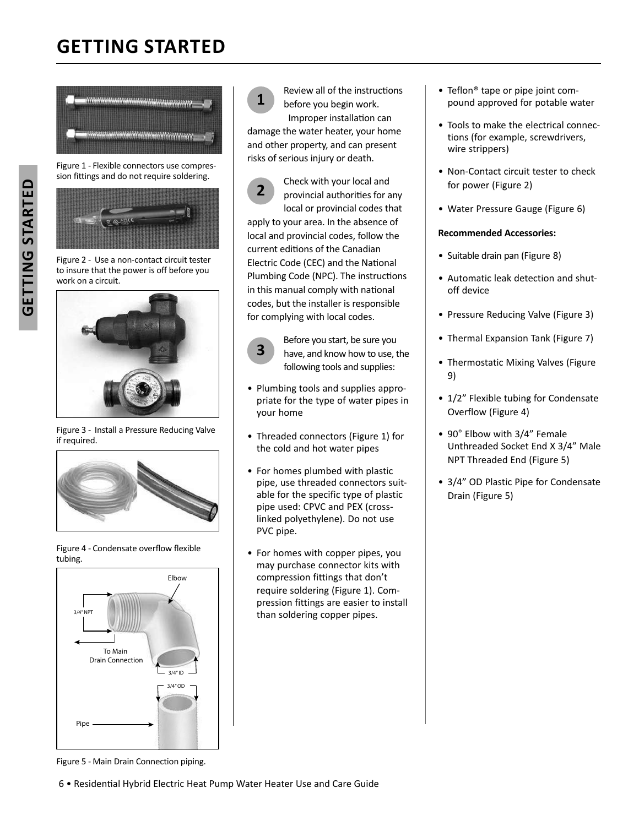## **GETTING STARTED**



Figure 1 - Flexible connectors use compression fittings and do not require soldering.



Figure 2 - Use a non-contact circuit tester to insure that the power is off before you work on a circuit.

**GETTING STARTED**

GETTING STARTED



Figure 3 - Install a Pressure Reducing Valve if required.



Figure 4 - Condensate overflow flexible tubing.



Figure 5 - Main Drain Connection piping.



Review all of the instructions before you begin work. Improper installation can damage the water heater, your home and other property, and can present risks of serious injury or death.

**2** Check with your local and provincial authorities for any local or provincial codes that apply to your area. In the absence of local and provincial codes, follow the current editions of the Canadian Electric Code (CEC) and the National Plumbing Code (NPC). The instructions in this manual comply with national codes, but the installer is responsible for complying with local codes.



Before you start, be sure you<br> **3** have, and know how to use, the following tools and supplies:

- Plumbing tools and supplies appropriate for the type of water pipes in your home
- Threaded connectors (Figure 1) for the cold and hot water pipes
- For homes plumbed with plastic pipe, use threaded connectors suitable for the specific type of plastic pipe used: CPVC and PEX (crosslinked polyethylene). Do not use PVC pipe.
- For homes with copper pipes, you may purchase connector kits with compression fittings that don't require soldering (Figure 1). Compression fittings are easier to install than soldering copper pipes.
- Teflon® tape or pipe joint compound approved for potable water
- Tools to make the electrical connections (for example, screwdrivers, wire strippers)
- Non-Contact circuit tester to check for power (Figure 2)
- Water Pressure Gauge (Figure 6)

#### **Recommended Accessories:**

- Suitable drain pan (Figure 8)
- Automatic leak detection and shutoff device
- Pressure Reducing Valve (Figure 3)
- Thermal Expansion Tank (Figure 7)
- Thermostatic Mixing Valves (Figure 9)
- 1/2" Flexible tubing for Condensate Overflow (Figure 4)
- 90° Elbow with 3/4" Female Unthreaded Socket End X 3/4" Male NPT Threaded End (Figure 5)
- 3/4" OD Plastic Pipe for Condensate Drain (Figure 5)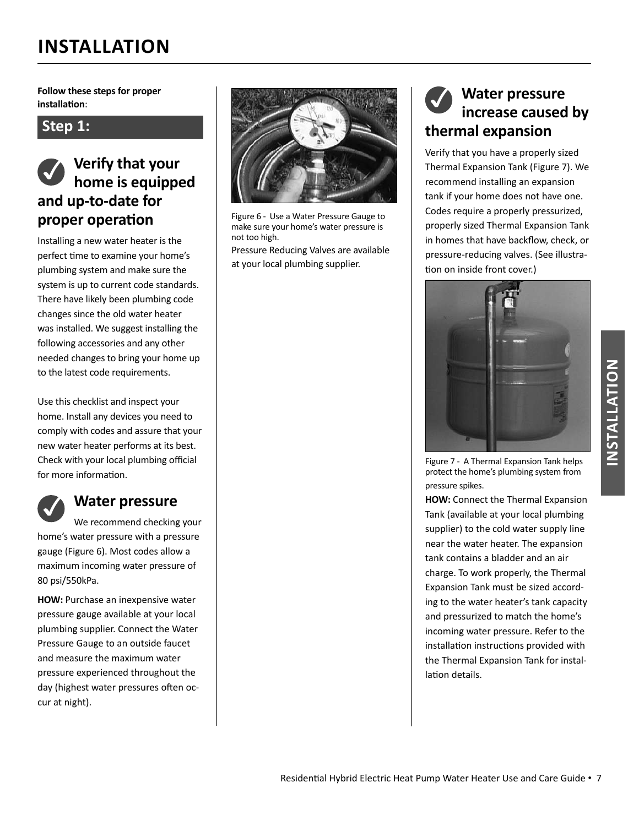**Follow these steps for proper**  $int$  **installation**:

**Step 1:**

### ✓ **Verify that your home is equipped and up-to-date for proper operaƟ on**

Installing a new water heater is the perfect time to examine your home's plumbing system and make sure the system is up to current code standards. There have likely been plumbing code changes since the old water heater was installed. We suggest installing the following accessories and any other needed changes to bring your home up to the latest code requirements.

Use this checklist and inspect your home. Install any devices you need to comply with codes and assure that your new water heater performs at its best. Check with your local plumbing official for more information.



#### ✓ **Water pressure**

We recommend checking your home's water pressure with a pressure gauge (Figure 6). Most codes allow a maximum incoming water pressure of 80 psi/550kPa.

**HOW:** Purchase an inexpensive water pressure gauge available at your local plumbing supplier. Connect the Water Pressure Gauge to an outside faucet and measure the maximum water pressure experienced throughout the day (highest water pressures often occur at night).



Figure 6 - Use a Water Pressure Gauge to make sure your home's water pressure is not too high.

 Pressure Reducing Valves are available at your local plumbing supplier.

### ✓ **Water pressure increase caused by thermal expansion**

Verify that you have a properly sized Thermal Expansion Tank (Figure 7). We recommend installing an expansion tank if your home does not have one. Codes require a properly pressurized, properly sized Thermal Expansion Tank in homes that have backflow, check, or pressure-reducing valves. (See illustration on inside front cover.)



Figure 7 - A Thermal Expansion Tank helps protect the home's plumbing system from pressure spikes.

**HOW:** Connect the Thermal Expansion Tank (available at your local plumbing supplier) to the cold water supply line near the water heater. The expansion tank contains a bladder and an air charge. To work properly, the Thermal Expansion Tank must be sized according to the water heater's tank capacity and pressurized to match the home's incoming water pressure. Refer to the installation instructions provided with the Thermal Expansion Tank for installation details.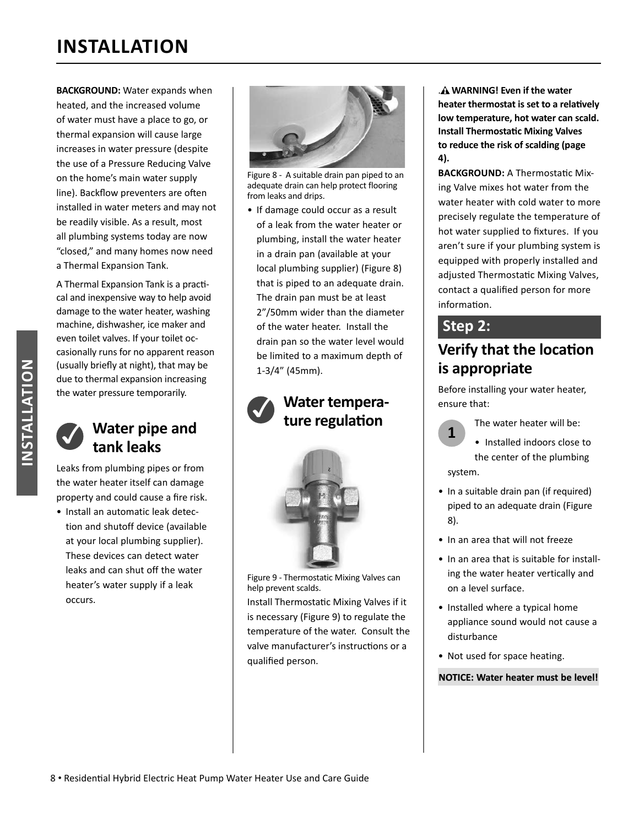**BACKGROUND:** Water expands when heated, and the increased volume of water must have a place to go, or thermal expansion will cause large increases in water pressure (despite the use of a Pressure Reducing Valve on the home's main water supply line). Backflow preventers are often installed in water meters and may not be readily visible. As a result, most all plumbing systems today are now "closed," and many homes now need a Thermal Expansion Tank.

A Thermal Expansion Tank is a practical and inexpensive way to help avoid damage to the water heater, washing machine, dishwasher, ice maker and even toilet valves. If your toilet occasionally runs for no apparent reason (usually briefly at night), that may be due to thermal expansion increasing the water pressure temporarily.



**INSTALLATION**

NSTALLATION

#### ✓ **Water pipe and tank leaks**

Leaks from plumbing pipes or from the water heater itself can damage property and could cause a fire risk.

• Install an automatic leak detection and shutoff device (available at your local plumbing supplier). These devices can detect water leaks and can shut off the water heater's water supply if a leak occurs.



Figure 8 - A suitable drain pan piped to an adequate drain can help protect flooring from leaks and drips.

• If damage could occur as a result of a leak from the water heater or plumbing, install the water heater in a drain pan (available at your local plumbing supplier) (Figure 8) that is piped to an adequate drain. The drain pan must be at least 2"/50mm wider than the diameter of the water heater. Install the drain pan so the water level would be limited to a maximum depth of 1-3/4" ( 45mm).





Figure 9 - Thermostatic Mixing Valves can help prevent scalds.

Install Thermostatic Mixing Valves if it is necessary (Figure 9) to regulate the temperature of the water. Consult the valve manufacturer's instructions or a qualified person.

. **WARNING! Even if the water heater thermostat is set to a relatively low temperature, hot water can scald. Install Thermostatic Mixing Valves to reduce the risk of scalding (page 4).**

**BACKGROUND:** A Thermostatic Mixing Valve mixes hot water from the water heater with cold water to more precisely regulate the temperature of hot water supplied to fixtures. If you aren't sure if your plumbing system is equipped with properly installed and adjusted Thermostatic Mixing Valves, contact a qualified person for more information.

#### **Step 2:**

**1**

### **Verify that the location is appropriate**

Before installing your water heater, ensure that:

The water heater will be:

• Installed indoors close to the center of the plumbing system.

- In a suitable drain pan (if required) piped to an adequate drain (Figure 8).
- In an area that will not freeze
- In an area that is suitable for installing the water heater vertically and on a level surface.
- Installed where a typical home appliance sound would not cause a disturbance
- Not used for space heating.

#### **NOTICE: Water heater must be level!**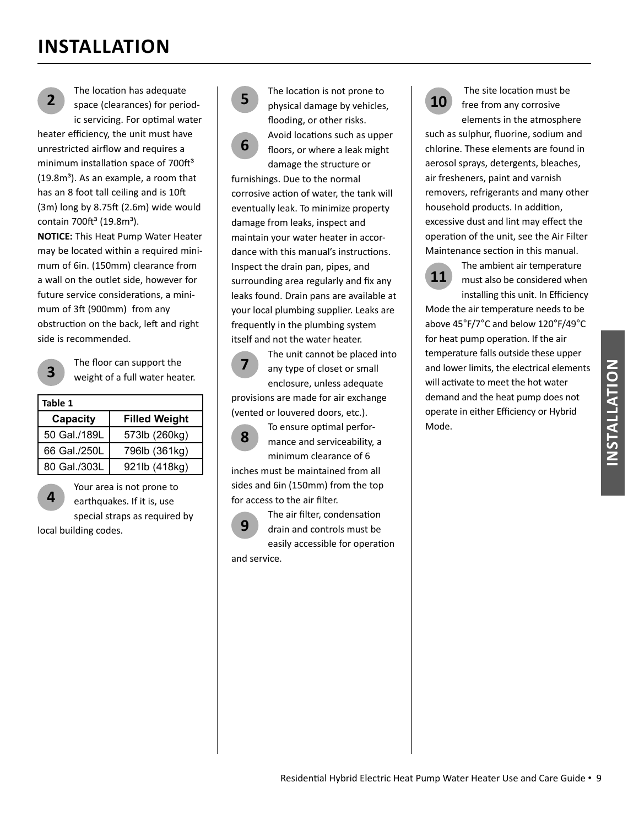The location has adequate space (clearances) for periodic servicing. For optimal water

heater efficiency, the unit must have unrestricted airflow and requires a minimum installation space of 700ft<sup>3</sup>  $(19.8<sup>3</sup>)$ . As an example, a room that has an 8 foot tall ceiling and is 10ft  $(3m)$  long by 8.75ft  $(2.6m)$  wide would

**NOTICE:** This Heat Pump Water Heater may be located within a required minimum of 6in. (150mm) clearance from a wall on the outlet side, however for future service considerations, a minimum of 3ft (900mm) from any

obstruction on the back, left and right

contain  $700ft^3$  (19.8m<sup>3</sup>).



**2**

The floor can support the weight of a full water heater.

| Table 1      |                      |
|--------------|----------------------|
| Capacity     | <b>Filled Weight</b> |
| 50 Gal./189L | 573lb (260kg)        |
| 66 Gal./250L | 796lb (361kg)        |
| 80 Gal./303L | 921lb (418kg)        |

**4** Your area is not prone to earthquakes. If it is, use special straps as required by local building codes.



**5** The location is not prone to physical damage by vehicles, flooding, or other risks. Avoid locations such as upper

> floors, or where a leak might damage the structure or

furnishings. Due to the normal corrosive action of water, the tank will eventually leak. To minimize property damage from leaks, inspect and maintain your water heater in accordance with this manual's instructions. Inspect the drain pan, pipes, and surrounding area regularly and fix any leaks found. Drain pans are available at your local plumbing supplier. Leaks are frequently in the plumbing system itself and not the water heater.



**7** The unit cannot be placed into any type of closet or small enclosure, unless adequate provisions are made for air exchange

(vented or louvered doors, etc.).



**8** To ensure optimal perfor-<br>**8** mance and serviceability, a minimum clearance of 6

inches must be maintained from all sides and 6in (150mm) from the top for access to the air filter.



The air filter, condensation drain and controls must be easily accessible for operation

and service.



The site location must be free from any corrosive elements in the atmosphere

such as sulphur, fluorine, sodium and chlorine. These elements are found in aerosol sprays, detergents, bleaches, air fresheners, paint and varnish removers, refrigerants and many other household products. In addition, excessive dust and lint may effect the operation of the unit, see the Air Filter Maintenance section in this manual.



The ambient air temperature must also be considered when installing this unit. In Efficiency

Mode the air temperature needs to be above 45°F/7°C and below 120°F/49°C for heat pump operation. If the air temperature falls outside these upper and lower limits, the electrical elements will activate to meet the hot water demand and the heat pump does not operate in either Efficiency or Hybrid Mode.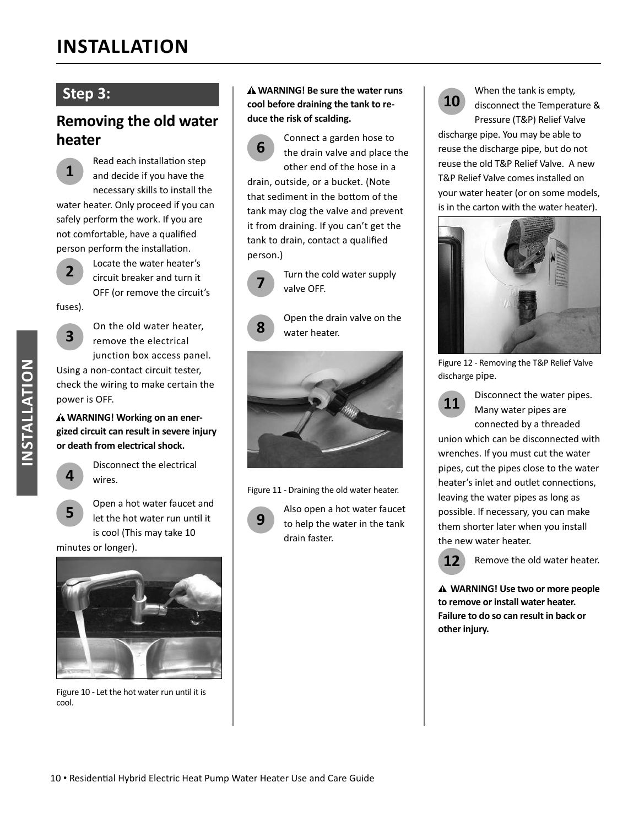#### **Step 3:**

#### **Removing the old water heater**

**1** Read each installation step and decide if you have the necessary skills to install the water heater. Only proceed if you can safely perform the work. If you are not comfortable, have a qualified person perform the installation.



**2** Locate the water heater's circuit breaker and turn it OFF (or remove the circuit's

fuses).



**3** On the old water heater, remove the electrical junction box access panel. Using a non-contact circuit tester, check the wiring to make certain the power is OFF.

#### **WARNING! Working on an energized circuit can result in severe injury or death from electrical shock.**



Disconnect the electrical wires.

**5** Open a hot water faucet and let the hot water run until it is cool (This may take 10

minutes or longer).



Figure 10 - Let the hot water run until it is cool.

#### **WARNING! Be sure the water runs cool before draining the tank to reduce the risk of scalding.**



**6** Connect a garden hose to the drain valve and place the other end of the hose in a

drain, outside, or a bucket. (Note that sediment in the bottom of the tank may clog the valve and prevent it from draining. If you can't get the tank to drain, contact a qualified person.)

valve OFF.



**8** Open the drain valve on the water heater.

**7** Turn the cold water supply



Figure 11 - Draining the old water heater.



**9** Also open a hot water faucet<br>**9** to help the water in the tank drain faster.



**10** When the tank is empty,<br>**10** disconnect the Temperature & Pressure (T&P) Relief Valve

discharge pipe. You may be able to reuse the discharge pipe, but do not reuse the old T&P Relief Valve. A new T&P Relief Valve comes installed on your water heater (or on some models, is in the carton with the water heater).



Figure 12 - Removing the T&P Relief Valve discharge pipe.



**11** Disconnect the water pipes. Many water pipes are connected by a threaded

union which can be disconnected with wrenches. If you must cut the water pipes, cut the pipes close to the water heater's inlet and outlet connections, leaving the water pipes as long as possible. If necessary, you can make them shorter later when you install the new water heater.



**12** Remove the old water heater.

**WARNING! Use two or more people to remove or install water heater. Failure to do so can result in back or other injury.**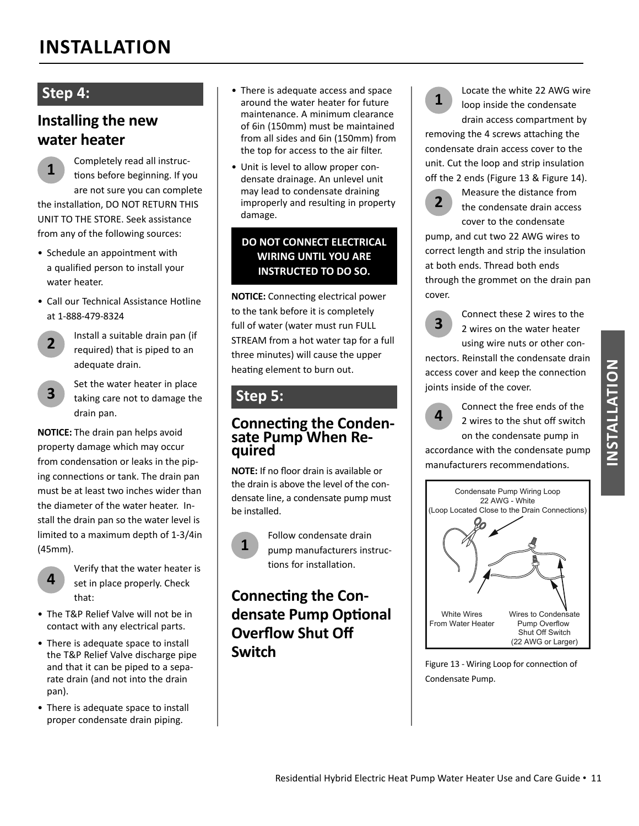#### **Step 4:**

#### **Installing the new water heater**

**1** Completely read all instructions before beginning. If you are not sure you can complete the installation, DO NOT RETURN THIS UNIT TO THE STORE. Seek assistance from any of the following sources:

- Schedule an appointment with a qualified person to install your water heater.
- Call our Technical Assistance Hotline at 1-888-479-8324
	- **2** Install a suitable drain pan (if required) that is piped to an adequate drain.
	- **3** Set the water heater in place taking care not to damage the drain pan.

**NOTICE:** The drain pan helps avoid property damage which may occur from condensation or leaks in the piping connections or tank. The drain pan must be at least two inches wider than the diameter of the water heater. Install the drain pan so the water level is limited to a maximum depth of 1-3/4in ( 45mm).



Verify that the water heater is set in place properly. Check that:

- The T&P Relief Valve will not be in contact with any electrical parts.
- There is adequate space to install the T&P Relief Valve discharge pipe and that it can be piped to a separate drain (and not into the drain pan).
- There is adequate space to install proper condensate drain piping.
- There is adequate access and space around the water heater for future maintenance. A minimum clearance of 6in (150mm) must be maintained from all sides and 6in (150mm) from the top for access to the air filter.
- Unit is level to allow proper condensate drainage. An unlevel unit may lead to condensate draining improperly and resulting in property damage.

#### **DO NOT CONNECT ELECTRICAL WIRING UNTIL YOU ARE INSTRUCTED TO DO SO.**

**NOTICE:** Connecting electrical power to the tank before it is completely full of water (water must run FULL STREAM from a hot water tap for a full three minutes) will cause the upper heating element to burn out.

### **Step 5:**

## **Connecting the Conden-**<br>sate Pump When Re**quired**

**NOTE:** If no floor drain is available or the drain is above the level of the condensate line, a condensate pump must be installed.



Follow condensate drain pump manufacturers instructions for installation.

### **Connecting the Condensate Pump Optional Overflow Shut Off Switch**

**1**

Locate the white 22 AWG wire loop inside the condensate drain access compartment by

removing the 4 screws attaching the condensate drain access cover to the unit. Cut the loop and strip insulation off the 2 ends (Figure 13 & Figure 14).

**2**

Measure the distance from the condensate drain access cover to the condensate

pump, and cut two 22 AWG wires to correct length and strip the insulation at both ends. Thread both ends through the grommet on the drain pan cover.



Connect these 2 wires to the 2 wires on the water heater using wire nuts or other con-

nectors. Reinstall the condensate drain access cover and keep the connection joints inside of the cover.

**4**

Connect the free ends of the 2 wires to the shut off switch on the condensate pump in

accordance with the condensate pump manufacturers recommendations.



Figure 13 - Wiring Loop for connection of Condensate Pump.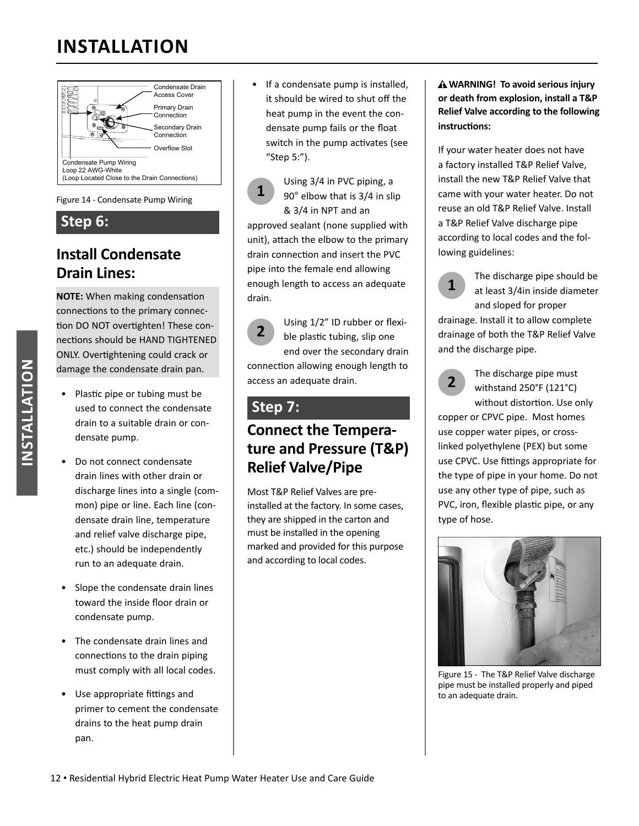

Figure 14 - Condensate Pump Wiring

#### **Step 6:**

### **Install Condensate Drain Lines:**

**NOTE:** When making condensation connections to the primary connection DO NOT overtighten! These connections should be HAND TIGHTENED ONLY. Overtightening could crack or damage the condensate drain pan.

- Plastic pipe or tubing must be used to connect the condensate drain to a suitable drain or condensate pump.
- Do not connect condensate drain lines with other drain or discharge lines into a single (common) pipe or line. Each line (condensate drain line, temperature and relief valve discharge pipe, etc.) should be independently run to an adequate drain.
- Slope the condensate drain lines toward the inside floor drain or condensate pump.
- The condensate drain lines and connections to the drain piping must comply with all local codes.
- Use appropriate fittings and primer to cement the condensate drains to the heat pump drain pan.

• If a condensate pump is installed, it should be wired to shut off the heat pump in the event the condensate pump fails or the float switch in the pump activates (see "Step 5:").

Using 3/4 in PVC piping, a<br>
90° elbow that is 3/4 in slip & 3/4 in NPT and an approved sealant (none supplied with unit), attach the elbow to the primary drain connection and insert the PVC pipe into the female end allowing enough length to access an adequate drain.

 $\sum_{\text{b} \text{lo}}$  Using  $1/2$ " ID rubber or flexible plastic tubing, slip one end over the secondary drain connection allowing enough length to access an adequate drain.

### **Step 7:**

### **Connect the Temperature and Pressure (T&P) Relief Valve/Pipe**

Most T&P Relief Valves are preinstalled at the factory. In some cases, they are shipped in the carton and must be installed in the opening marked and provided for this purpose and according to local codes.

 **WARNING! To avoid serious injury or death from explosion, install a T&P Relief Valve according to the following**   $in$ structions:

If your water heater does not have a factory installed T&P Relief Valve, install the new T&P Relief Valve that came with your water heater. Do not reuse an old T&P Relief Valve. Install a T&P Relief Valve discharge pipe according to local codes and the following guidelines:

**1** The discharge pipe should be at least 3/4in inside diameter and sloped for proper

drainage. Install it to allow complete drainage of both the T&P Relief Valve and the discharge pipe.



**2** The discharge pipe must<br>withstand 250°F (121°C) without distortion. Use only

copper or CPVC pipe. Most homes use copper water pipes, or crosslinked polyethylene (PEX) but some use CPVC. Use fittings appropriate for the type of pipe in your home. Do not use any other type of pipe, such as PVC, iron, flexible plastic pipe, or any type of hose.



Figure 15 - The T&P Relief Valve discharge pipe must be installed properly and piped to an adequate drain.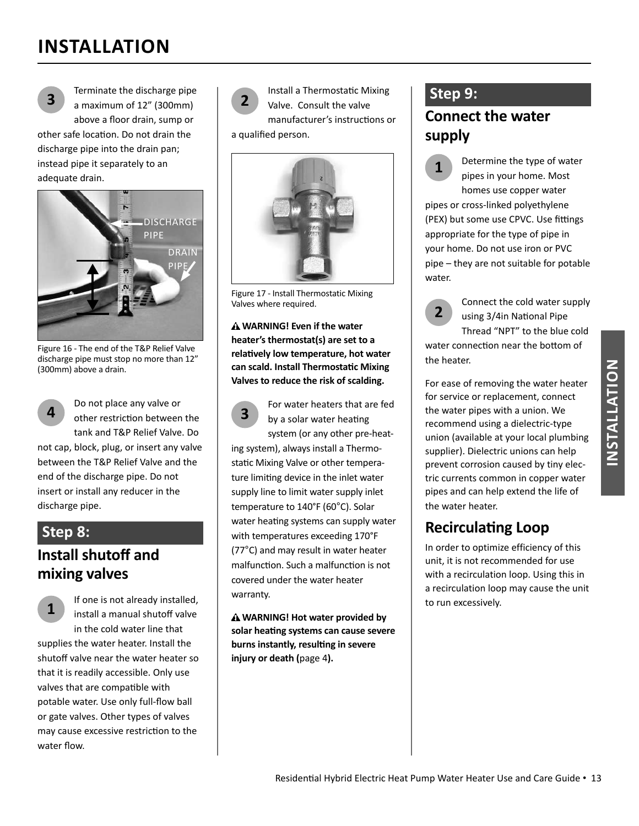

**3** Terminate the discharge pipe<br>a maximum of 12" (300mm) above a floor drain, sump or

other safe location. Do not drain the discharge pipe into the drain pan; instead pipe it separately to an adequate drain.



Figure 16 - The end of the T&P Relief Valve discharge pipe must stop no more than 12" (300mm) above a drain.



**4** Do not place any valve or other restriction between the tank and T&P Relief Valve. Do

not cap, block, plug, or insert any valve between the T&P Relief Valve and the end of the discharge pipe. Do not insert or install any reducer in the discharge pipe.

## **Step 8:**

### **Install shutoff and mixing valves**

**1** If one is not already installed, install a manual shutoff valve in the cold water line that supplies the water heater. Install the shutoff valve near the water heater so that it is readily accessible. Only use valves that are compatible with potable water. Use only full-flow ball or gate valves. Other types of valves may cause excessive restriction to the water flow.



Install a Thermostatic Mixing Valve. Consult the valve manufacturer's instructions or a qualified person.



Figure 17 - Install Thermostatic Mixing Valves where required.

 **WARNING! Even if the water heater's thermostat(s) are set to a relaƟ vely low temperature, hot water can scald. Install ThermostaƟ c Mixing Valves to reduce the risk of scalding.** 



For water heaters that are fed by a solar water heating

system (or any other pre-heating system), always install a Thermostatic Mixing Valve or other temperature limiting device in the inlet water supply line to limit water supply inlet temperature to 140°F (60°C). Solar water heating systems can supply water with temperatures exceeding 170°F ( 77°C) and may result in water heater malfunction. Such a malfunction is not covered under the water heater warranty.

 **WARNING! Hot water provided by solar heaƟ ng systems can cause severe burns instantly, resulting in severe injury or death (**page 4**).**

#### **Step 9:**

#### **Connect the water supply**

**1** Determine the type of water pipes in your home. Most homes use copper water pipes or cross-linked polyethylene (PEX) but some use CPVC. Use fittings appropriate for the type of pipe in your home. Do not use iron or PVC pipe – they are not suitable for potable water.



**2** Connect the cold water supply using 3/4in National Pipe

Thread "NPT" to the blue cold water connection near the bottom of the heater.

For ease of removing the water heater for service or replacement, connect the water pipes with a union. We recommend using a dielectric-type union (available at your local plumbing supplier). Dielectric unions can help prevent corrosion caused by tiny electric currents common in copper water pipes and can help extend the life of the water heater.

### **Recirculating Loop**

In order to optimize efficiency of this unit, it is not recommended for use with a recirculation loop. Using this in a recirculation loop may cause the unit to run excessively.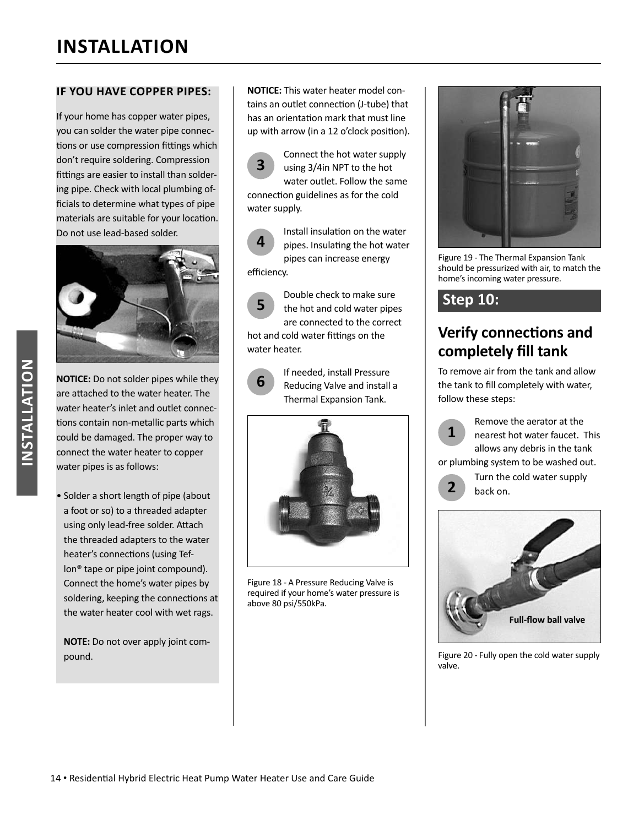#### **IF YOU HAVE COPPER PIPES:**

If your home has copper water pipes, you can solder the water pipe connections or use compression fittings which don't require soldering. Compression fittings are easier to install than soldering pipe. Check with local plumbing officials to determine what types of pipe materials are suitable for your location. Do not use lead-based solder.



**NOTICE:** Do not solder pipes while they are attached to the water heater. The water heater's inlet and outlet connections contain non-metallic parts which could be damaged. The proper way to connect the water heater to copper water pipes is as follows:

• Solder a short length of pipe (about a foot or so) to a threaded adapter using only lead-free solder. Attach the threaded adapters to the water heater's connections (using Teflon® tape or pipe joint compound). Connect the home's water pipes by soldering, keeping the connections at the water heater cool with wet rags.

**NOTE:** Do not over apply joint compound.

**NOTICE:** This water heater model contains an outlet connection (J-tube) that has an orientation mark that must line up with arrow (in a 12 o'clock position).



Connect the hot water supply using 3/4in NPT to the hot water outlet. Follow the same connection guidelines as for the cold

water supply. **4**

Install insulation on the water pipes. Insulating the hot water pipes can increase energy efficiency.



Double check to make sure the hot and cold water pipes are connected to the correct hot and cold water fittings on the



water heater.

**6** If needed, install Pressure<br> **6** Reducing Valve and install a Thermal Expansion Tank.



Figure 18 - A Pressure Reducing Valve is required if your home's water pressure is above 80 psi/550kPa.



Figure 19 - The Thermal Expansion Tank should be pressurized with air, to match the home's incoming water pressure.

#### **Step 10:**

### **Verify connections and completely fill tank**

To remove air from the tank and allow the tank to fill completely with water, follow these steps:

**1** Remove the aerator at the nearest hot water faucet. This allows any debris in the tank or plumbing system to be washed out.

**2** Turn the cold water supply back on.



Figure 20 - Fully open the cold water supply valve.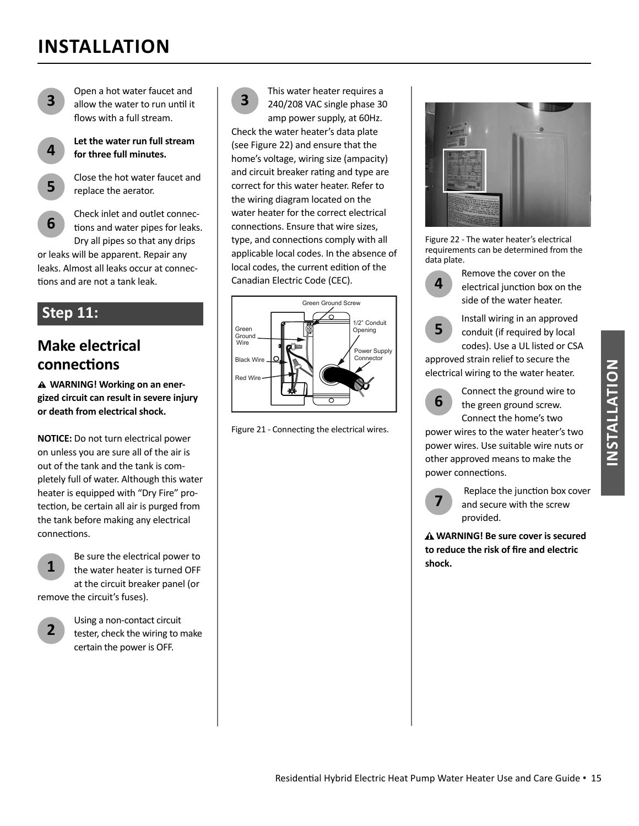

**4**

**5**

**6**

**3** Open a hot water faucet and allow the water to run until it flows with a full stream.

> **Let the water run full stream for three full minutes.**

Close the hot water faucet and replace the aerator.

Check inlet and outlet connections and water pipes for leaks. Dry all pipes so that any drips

or leaks will be apparent. Repair any leaks. Almost all leaks occur at connections and are not a tank leak.

### **Step 11:**

### **Make electrical connecƟ ons**

**WARNING! Working on an energized circuit can result in severe injury or death from electrical shock.**

**NOTICE:** Do not turn electrical power on unless you are sure all of the air is out of the tank and the tank is completely full of water. Although this water heater is equipped with "Dry Fire" protection, be certain all air is purged from the tank before making any electrical connections.



**1** Be sure the electrical power to the water heater is turned OFF at the circuit breaker panel (or

remove the circuit's fuses).

| ٠ |  |
|---|--|

**2** Using a non-contact circuit<br>
tester, check the wiring to make certain the power is OFF.



**3** This water heater requires a<br>240/208 VAC single phase 30 amp power supply, at 60Hz.

Check the water heater's data plate (see Figure 22) and ensure that the home's voltage, wiring size (ampacity) and circuit breaker rating and type are correct for this water heater. Refer to the wiring diagram located on the water heater for the correct electrical connections. Ensure that wire sizes. type, and connections comply with all applicable local codes. In the absence of local codes, the current edition of the Canadian Electric Code (CEC).







Figure 22 - The water heater's electrical requirements can be determined from the data plate.



Remove the cover on the electrical junction box on the side of the water heater.

**5** Install wiring in an approved<br> **5** conduit (if required by local codes). Use a UL listed or CSA approved strain relief to secure the

electrical wiring to the water heater.



**6** Connect the ground wire to the green ground screw. Connect the home's two

power wires to the water heater's two power wires. Use suitable wire nuts or other approved means to make the power connections.



**7** Replace the junction box cover and secure with the screw provided.

**WARNING! Be sure cover is secured**  to reduce the risk of fire and electric **shock.**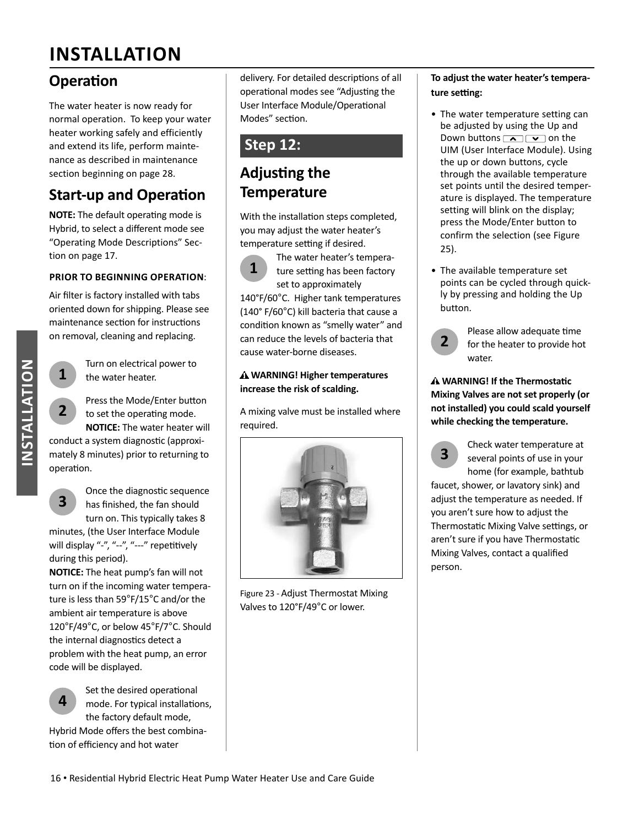### **OperaƟ on**

The water heater is now ready for normal operation. To keep your water heater working safely and efficiently and extend its life, perform maintenance as described in maintenance section beginning on page 28.

### **Start-up and Operation**

**NOTE:** The default operating mode is Hybrid, to select a different mode see "Operating Mode Descriptions" Section on page 17.

#### **PRIOR TO BEGINNING OPERATION**:

Air filter is factory installed with tabs oriented down for shipping. Please see maintenance section for instructions on removal, cleaning and replacing.

**2**

**INSTALLATION**

NSTALLATION

**1** Turn on electrical power to<br>**1** the water beater the water heater.

> Press the Mode/Enter button to set the operating mode. **NOTICE:** The water heater will

conduct a system diagnostic (approximately 8 minutes) prior to returning to operation.

**3** Once the diagnostic sequence<br>**3** has finished the fan should has finished, the fan should turn on. This typically takes 8

minutes, (the User Interface Module will display "-", "--", "---" repetitively during this period).

**NOTICE:** The heat pump's fan will not turn on if the incoming water temperature is less than 59°F/15°C and/or the ambient air temperature is above 120°F/49°C, or below 45°F/7 °C. Should the internal diagnostics detect a problem with the heat pump, an error code will be displayed.



Set the desired operational mode. For typical installations, the factory default mode,

Hybrid Mode offers the best combination of efficiency and hot water

delivery. For detailed descriptions of all operational modes see "Adjusting the User Interface Module/Operational Modes" section.

### **Step 12:**

### **Adjusting the Temperature**

With the installation steps completed, you may adjust the water heater's temperature setting if desired.



**1** The water heater's tempera-<br>ture setting has been factory set to approximately

 140°F/60°C . Higher tank temperatures (140° F/60°C) kill bacteria that cause a condition known as "smelly water" and can reduce the levels of bacteria that cause water-borne diseases.

#### **WARNING! Higher temperatures**  increase the risk of scalding.

A mixing valve must be installed where required.



Figure 23 - Adjust Thermostat Mixing Valves to 120°F/49°C or lower.

#### **To adjust the water heater's temperature setting:**

- The water temperature setting can be adjusted by using the Up and Down buttons  $\boxed{\frown}$  on the UIM (User Interface Module). Using the up or down buttons, cycle through the available temperature set points until the desired temperature is displayed. The temperature setting will blink on the display; press the Mode/Enter button to confirm the selection (see Figure 25).
- The available temperature set points can be cycled through quickly by pressing and holding the Up button.



**2** Please allow adequate time<br>**2** for the heater to provide hot water.

#### **A WARNING! If the Thermostatic Mixing Valves are not set properly (or not installed) you could scald yourself while checking the temperature.**

**3** Check water temperature at several points of use in your home (for example, bathtub

faucet, shower, or lavatory sink) and adjust the temperature as needed. If you aren't sure how to adjust the Thermostatic Mixing Valve settings, or aren't sure if you have Thermostatic Mixing Valves, contact a qualified person.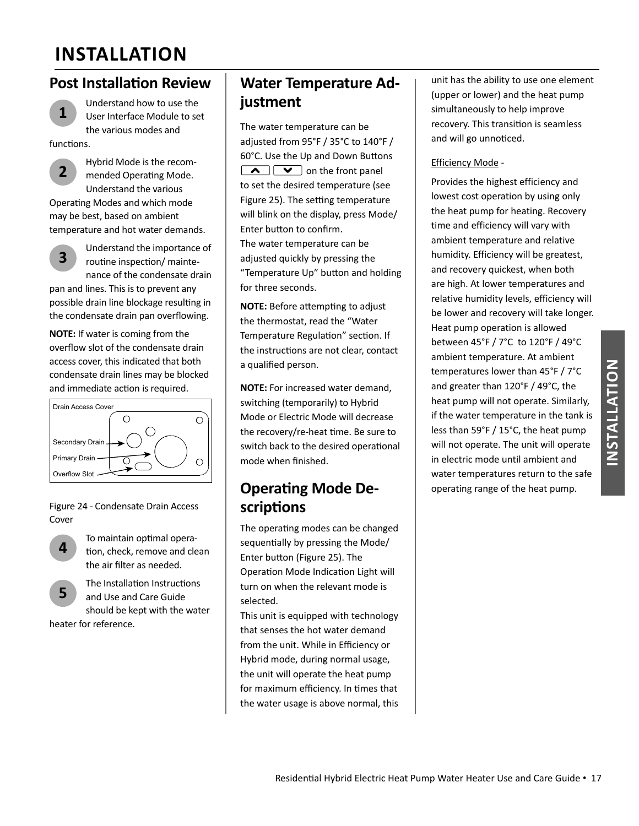#### **Post Installation Review**

**1**

Understand how to use the User Interface Module to set the various modes and

functions.

**2** Hybrid Mode is the recom-<br>mended Operating Mode. Understand the various Operating Modes and which mode

may be best, based on ambient temperature and hot water demands.



**3** Understand the importance of routine inspection/ maintenance of the condensate drain

pan and lines. This is to prevent any possible drain line blockage resulting in the condensate drain pan overflowing.

**NOTE:** If water is coming from the overflow slot of the condensate drain access cover, this indicated that both condensate drain lines may be blocked and immediate action is required.



Figure 24 - Condensate Drain Access Cover



**4** To maintain optimal opera-<br> **d** tion, check, remove and clean the air filter as needed.



The Installation Instructions and Use and Care Guide should be kept with the water

heater for reference.

### **Water Temperature Adjustment**

The water temperature can be adjusted from 95°F / 35°C to 140°F / 60°C. Use the Up and Down Buttons  $\boxed{\wedge}$   $\boxed{\vee}$  on the front panel to set the desired temperature (see Figure 25). The setting temperature will blink on the display, press Mode/ Enter button to confirm.

The water temperature can be adjusted quickly by pressing the "Temperature Up" button and holding for three seconds.

**NOTE:** Before attempting to adjust the thermostat, read the "Water Temperature Regulation" section. If the instructions are not clear, contact a qualified person.

**NOTE:** For increased water demand, switching (temporarily) to Hybrid Mode or Electric Mode will decrease the recovery/re-heat time. Be sure to switch back to the desired operational mode when finished.

### **Operating Mode DescripƟ ons**

The operating modes can be changed sequentially by pressing the Mode/ Enter button (Figure 25). The Operation Mode Indication Light will turn on when the relevant mode is selected.

This unit is equipped with technology that senses the hot water demand from the unit. While in Efficiency or Hybrid mode, during normal usage, the unit will operate the heat pump for maximum efficiency. In times that the water usage is above normal, this

unit has the ability to use one element (upper or lower) and the heat pump simultaneously to help improve recovery. This transition is seamless and will go unnoticed.

#### Efficiency Mode -

Provides the highest efficiency and lowest cost operation by using only the heat pump for heating. Recovery time and efficiency will vary with ambient temperature and relative humidity. Efficiency will be greatest, and recovery quickest, when both are high. At lower temperatures and relative humidity levels, efficiency will be lower and recovery will take longer. Heat pump operation is allowed between 45°F / 7°C to 120°F / 49°C ambient temperature. At ambient temperatures lower than 45°F / 7°C and greater than 120°F / 49°C, the heat pump will not operate. Similarly, if the water temperature in the tank is less than 59°F / 15°C, the heat pump will not operate. The unit will operate in electric mode until ambient and water temperatures return to the safe operating range of the heat pump.

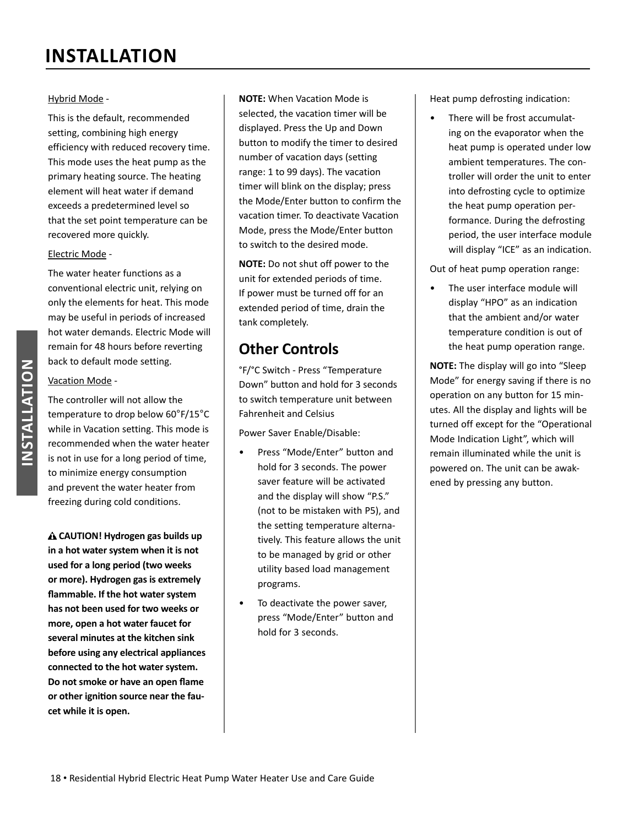#### Hybrid Mode -

This is the default, recommended setting, combining high energy efficiency with reduced recovery time. This mode uses the heat pump as the primary heating source. The heating element will heat water if demand exceeds a predetermined level so that the set point temperature can be recovered more quickly.

#### Electric Mode -

The water heater functions as a conventional electric unit, relying on only the elements for heat. This mode may be useful in periods of increased hot water demands. Electric Mode will remain for 48 hours before reverting back to default mode setting.

#### Vacation Mode -

The controller will not allow the temperature to drop below 60°F/15°C while in Vacation setting. This mode is recommended when the water heater is not in use for a long period of time, to minimize energy consumption and prevent the water heater from freezing during cold conditions.

**A CAUTION! Hydrogen gas builds up in a hot water system when it is not used for a long period (two weeks or more). Hydrogen gas is extremely**  flammable. If the hot water system **has not been used for two weeks or more, open a hot water faucet for several minutes at the kitchen sink before using any electrical appliances connected to the hot water system. Do not smoke or have an open flame or other igniƟ on source near the faucet while it is open.** 

**NOTE:** When Vacation Mode is selected, the vacation timer will be displayed. Press the Up and Down button to modify the timer to desired number of vacation days (setting range: 1 to 99 days). The vacation timer will blink on the display; press the Mode/Enter button to confirm the vacation timer. To deactivate Vacation Mode, press the Mode/Enter button to switch to the desired mode.

**NOTE:** Do not shut off power to the unit for extended periods of time. If power must be turned off for an extended period of time, drain the tank completely.

### **Other Controls**

°F/°C Switch - Press "Temperature Down" button and hold for 3 seconds to switch temperature unit between Fahrenheit and Celsius

Power Saver Enable/Disable:

- Press "Mode/Enter" button and hold for 3 seconds. The power saver feature will be activated and the display will show "P.S." (not to be mistaken with P5), and the setting temperature alternatively. This feature allows the unit to be managed by grid or other utility based load management programs.
- To deactivate the power saver, press "Mode/Enter" button and hold for 3 seconds.

Heat pump defrosting indication:

• There will be frost accumulating on the evaporator when the heat pump is operated under low ambient temperatures. The controller will order the unit to enter into defrosting cycle to optimize the heat pump operation performance. During the defrosting period, the user interface module will display "ICE" as an indication.

Out of heat pump operation range:

The user interface module will display "HPO" as an indication that the ambient and/or water temperature condition is out of the heat pump operation range.

**NOTE:** The display will go into "Sleep Mode" for energy saving if there is no operation on any button for 15 minutes. All the display and lights will be turned off except for the "Operational Mode Indication Light", which will remain illuminated while the unit is powered on. The unit can be awakened by pressing any button.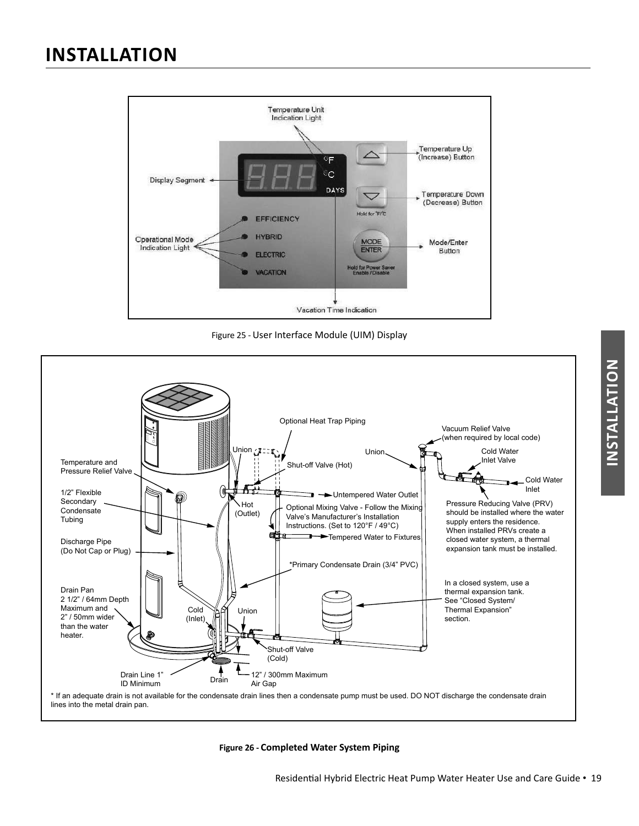

Figure 25 - User Interface Module (UIM) Display



**Figure 26 - Completed Water System Piping**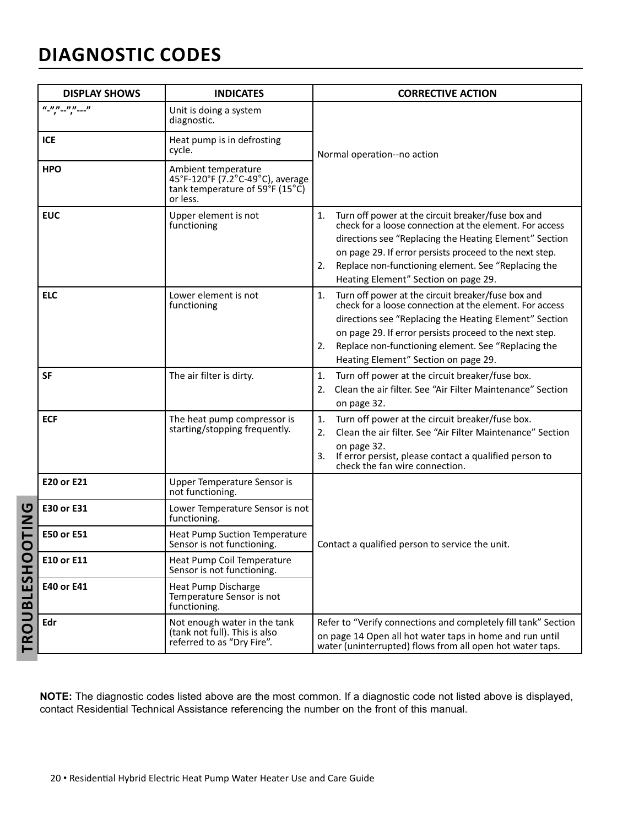## **DIAGNOSTIC CODES**

|                               | <b>DISPLAY SHOWS</b> | <b>INDICATES</b>                                                                                       | <b>CORRECTIVE ACTION</b>                                                                                                                                                                                                                                                                                                                      |  |
|-------------------------------|----------------------|--------------------------------------------------------------------------------------------------------|-----------------------------------------------------------------------------------------------------------------------------------------------------------------------------------------------------------------------------------------------------------------------------------------------------------------------------------------------|--|
|                               | $"$ -","--","---"    | Unit is doing a system<br>diagnostic.                                                                  | Normal operation--no action                                                                                                                                                                                                                                                                                                                   |  |
|                               | <b>ICE</b>           | Heat pump is in defrosting<br>cycle.                                                                   |                                                                                                                                                                                                                                                                                                                                               |  |
|                               | <b>HPO</b>           | Ambient temperature<br>45°F-120°F (7.2°C-49°C), average<br>tank temperature of 59°F (15°C)<br>or less. |                                                                                                                                                                                                                                                                                                                                               |  |
|                               | <b>EUC</b>           | Upper element is not<br>functioning                                                                    | Turn off power at the circuit breaker/fuse box and<br>1.<br>check for a loose connection at the element. For access<br>directions see "Replacing the Heating Element" Section<br>on page 29. If error persists proceed to the next step.<br>Replace non-functioning element. See "Replacing the<br>2.<br>Heating Element" Section on page 29. |  |
|                               | <b>ELC</b>           | Lower element is not<br>functioning                                                                    | Turn off power at the circuit breaker/fuse box and<br>1.<br>check for a loose connection at the element. For access<br>directions see "Replacing the Heating Element" Section<br>on page 29. If error persists proceed to the next step.<br>Replace non-functioning element. See "Replacing the<br>2.<br>Heating Element" Section on page 29. |  |
|                               | <b>SF</b>            | The air filter is dirty.                                                                               | 1.<br>Turn off power at the circuit breaker/fuse box.<br>Clean the air filter. See "Air Filter Maintenance" Section<br>2.<br>on page 32.                                                                                                                                                                                                      |  |
|                               | <b>ECF</b>           | The heat pump compressor is<br>starting/stopping frequently.                                           | Turn off power at the circuit breaker/fuse box.<br>1.<br>Clean the air filter. See "Air Filter Maintenance" Section<br>2.<br>on page 32.<br>If error persist, please contact a qualified person to<br>3.<br>check the fan wire connection.                                                                                                    |  |
|                               | <b>E20 or E21</b>    | Upper Temperature Sensor is<br>not functioning.                                                        |                                                                                                                                                                                                                                                                                                                                               |  |
| <b>UNE</b>                    | E30 or E31           | Lower Temperature Sensor is not<br>functioning.                                                        |                                                                                                                                                                                                                                                                                                                                               |  |
| O                             | <b>E50 or E51</b>    | <b>Heat Pump Suction Temperature</b><br>Sensor is not functioning.                                     | Contact a qualified person to service the unit.                                                                                                                                                                                                                                                                                               |  |
| $\bullet$<br>Ŧ                | <b>E10 or E11</b>    | Heat Pump Coil Temperature<br>Sensor is not functioning.                                               |                                                                                                                                                                                                                                                                                                                                               |  |
| $\mathbf{v}$<br><u>ш</u><br>┙ | E40 or E41           | Heat Pump Discharge<br>Temperature Sensor is not<br>functioning.                                       |                                                                                                                                                                                                                                                                                                                                               |  |
| <b>OUBI</b><br>$\alpha$       | Edr                  | Not enough water in the tank<br>(tank not full). This is also<br>referred to as "Dry Fire".            | Refer to "Verify connections and completely fill tank" Section<br>on page 14 Open all hot water taps in home and run until<br>water (uninterrupted) flows from all open hot water taps.                                                                                                                                                       |  |

**NOTE:** The diagnostic codes listed above are the most common. If a diagnostic code not listed above is displayed, contact Residential Technical Assistance referencing the number on the front of this manual.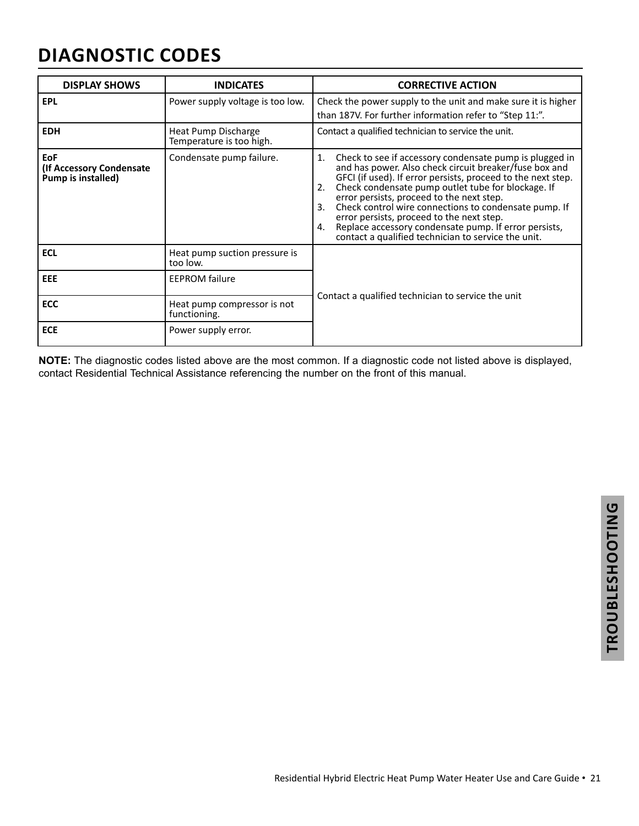## **DIAGNOSTIC CODES**

| <b>DISPLAY SHOWS</b>                                         | <b>INDICATES</b>                                | <b>CORRECTIVE ACTION</b>                                                                                                                                                                                                                                                                                                                                                                                                                                                                                                                       |  |
|--------------------------------------------------------------|-------------------------------------------------|------------------------------------------------------------------------------------------------------------------------------------------------------------------------------------------------------------------------------------------------------------------------------------------------------------------------------------------------------------------------------------------------------------------------------------------------------------------------------------------------------------------------------------------------|--|
| <b>EPL</b>                                                   | Power supply voltage is too low.                | Check the power supply to the unit and make sure it is higher<br>than 187V. For further information refer to "Step 11:".                                                                                                                                                                                                                                                                                                                                                                                                                       |  |
| <b>EDH</b>                                                   | Heat Pump Discharge<br>Temperature is too high. | Contact a qualified technician to service the unit.                                                                                                                                                                                                                                                                                                                                                                                                                                                                                            |  |
| <b>EoF</b><br>(If Accessory Condensate<br>Pump is installed) | Condensate pump failure.                        | Check to see if accessory condensate pump is plugged in<br>$\mathbf{1}$ .<br>and has power. Also check circuit breaker/fuse box and<br>GFCI (if used). If error persists, proceed to the next step.<br>Check condensate pump outlet tube for blockage. If<br>2.<br>error persists, proceed to the next step.<br>Check control wire connections to condensate pump. If<br>3.<br>error persists, proceed to the next step.<br>Replace accessory condensate pump. If error persists,<br>4.<br>contact a qualified technician to service the unit. |  |
| <b>ECL</b>                                                   | Heat pump suction pressure is<br>too low.       |                                                                                                                                                                                                                                                                                                                                                                                                                                                                                                                                                |  |
| EEE                                                          | <b>EEPROM</b> failure                           |                                                                                                                                                                                                                                                                                                                                                                                                                                                                                                                                                |  |
| <b>ECC</b>                                                   | Heat pump compressor is not<br>functioning.     | Contact a qualified technician to service the unit                                                                                                                                                                                                                                                                                                                                                                                                                                                                                             |  |
| <b>ECE</b>                                                   | Power supply error.                             |                                                                                                                                                                                                                                                                                                                                                                                                                                                                                                                                                |  |

**NOTE:** The diagnostic codes listed above are the most common. If a diagnostic code not listed above is displayed, contact Residential Technical Assistance referencing the number on the front of this manual.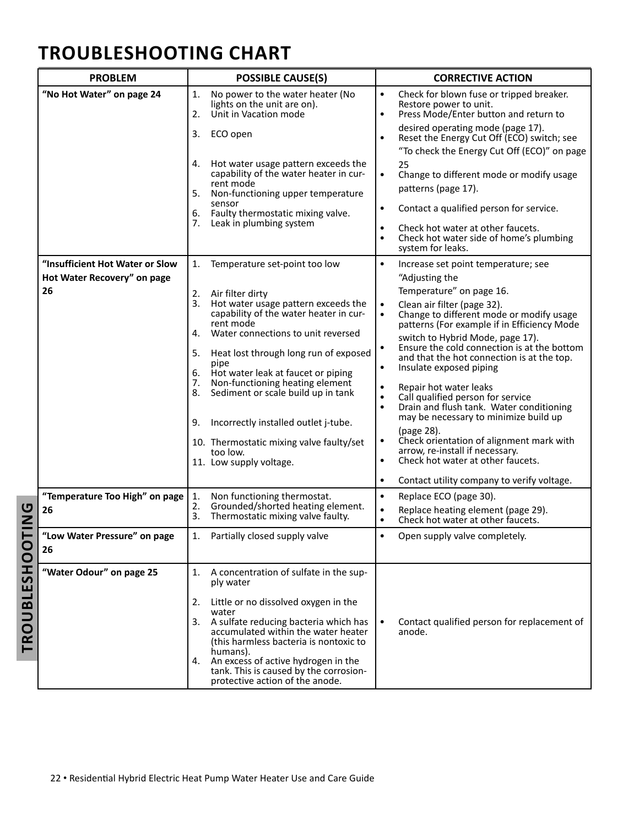## **TROUBLESHOOTING CHART**

|                                                                    | <b>PROBLEM</b>                                               | <b>POSSIBLE CAUSE(S)</b>                                                                                                                                                                                                                                                                                                                                                                                                                                                                        | <b>CORRECTIVE ACTION</b>                                                                                                                                                                                                                                                                                                                                                                                                                                                                                                                                                                                                                                                                                                                                                                  |  |
|--------------------------------------------------------------------|--------------------------------------------------------------|-------------------------------------------------------------------------------------------------------------------------------------------------------------------------------------------------------------------------------------------------------------------------------------------------------------------------------------------------------------------------------------------------------------------------------------------------------------------------------------------------|-------------------------------------------------------------------------------------------------------------------------------------------------------------------------------------------------------------------------------------------------------------------------------------------------------------------------------------------------------------------------------------------------------------------------------------------------------------------------------------------------------------------------------------------------------------------------------------------------------------------------------------------------------------------------------------------------------------------------------------------------------------------------------------------|--|
|                                                                    | "No Hot Water" on page 24<br>"Insufficient Hot Water or Slow | 1.<br>No power to the water heater (No<br>lights on the unit are on).<br>2.<br>Unit in Vacation mode<br>3.<br>ECO open<br>4.<br>Hot water usage pattern exceeds the<br>capability of the water heater in cur-<br>rent mode<br>Non-functioning upper temperature<br>5.<br>sensor<br>Faulty thermostatic mixing valve.<br>6.<br>Leak in plumbing system<br>7.<br>1.<br>Temperature set-point too low                                                                                              | Check for blown fuse or tripped breaker.<br>$\bullet$<br>Restore power to unit.<br>Press Mode/Enter button and return to<br>$\bullet$<br>desired operating mode (page 17).<br>Reset the Energy Cut Off (ECO) switch; see<br>$\bullet$<br>"To check the Energy Cut Off (ECO)" on page<br>25<br>Change to different mode or modify usage<br>$\bullet$<br>patterns (page 17).<br>Contact a qualified person for service.<br>$\bullet$<br>Check hot water at other faucets.<br>$\bullet$<br>Check hot water side of home's plumbing<br>$\bullet$<br>system for leaks.<br>Increase set point temperature; see<br>$\bullet$                                                                                                                                                                     |  |
|                                                                    | Hot Water Recovery" on page<br>26                            | Air filter dirty<br>2.<br>3.<br>Hot water usage pattern exceeds the<br>capability of the water heater in cur-<br>rent mode<br>Water connections to unit reversed<br>4.<br>5.<br>Heat lost through long run of exposed<br>pipe<br>Hot water leak at faucet or piping<br>6.<br>Non-functioning heating element<br>7.<br>Sediment or scale build up in tank<br>8.<br>9.<br>Incorrectly installed outlet j-tube.<br>10. Thermostatic mixing valve faulty/set<br>too low.<br>11. Low supply voltage. | "Adjusting the<br>Temperature" on page 16.<br>Clean air filter (page 32).<br>$\bullet$<br>Change to different mode or modify usage<br>$\bullet$<br>patterns (For example if in Efficiency Mode<br>switch to Hybrid Mode, page 17).<br>Ensure the cold connection is at the bottom<br>$\bullet$<br>and that the hot connection is at the top.<br>Insulate exposed piping<br>$\bullet$<br>Repair hot water leaks<br>Call qualified person for service<br>$\bullet$<br>Drain and flush tank. Water conditioning<br>$\bullet$<br>may be necessary to minimize build up<br>(page 28).<br>Check orientation of alignment mark with<br>$\bullet$<br>arrow, re-install if necessary.<br>Check hot water at other faucets.<br>$\bullet$<br>Contact utility company to verify voltage.<br>$\bullet$ |  |
| U<br>Z<br>I                                                        | "Temperature Too High" on page<br>26                         | 1.<br>Non functioning thermostat.<br>Grounded/shorted heating element.<br>2.<br>Thermostatic mixing valve faulty.<br>3.                                                                                                                                                                                                                                                                                                                                                                         | $\bullet$<br>Replace ECO (page 30).<br>Replace heating element (page 29).<br>Check hot water at other faucets.<br>$\bullet$<br>$\bullet$                                                                                                                                                                                                                                                                                                                                                                                                                                                                                                                                                                                                                                                  |  |
|                                                                    | "Low Water Pressure" on page<br>26                           | 1. Partially closed supply valve                                                                                                                                                                                                                                                                                                                                                                                                                                                                | Open supply valve completely.                                                                                                                                                                                                                                                                                                                                                                                                                                                                                                                                                                                                                                                                                                                                                             |  |
| <b>LESHOO</b><br>$\mathbf{\Omega}$<br>$\Box$<br>$\mathbf{O}$<br>TR | "Water Odour" on page 25                                     | A concentration of sulfate in the sup-<br>1.<br>ply water<br>Little or no dissolved oxygen in the<br>2.<br>water<br>A sulfate reducing bacteria which has<br>3.<br>accumulated within the water heater<br>(this harmless bacteria is nontoxic to<br>humans).<br>4. An excess of active hydrogen in the<br>tank. This is caused by the corrosion-<br>protective action of the anode.                                                                                                             | Contact qualified person for replacement of<br>anode.                                                                                                                                                                                                                                                                                                                                                                                                                                                                                                                                                                                                                                                                                                                                     |  |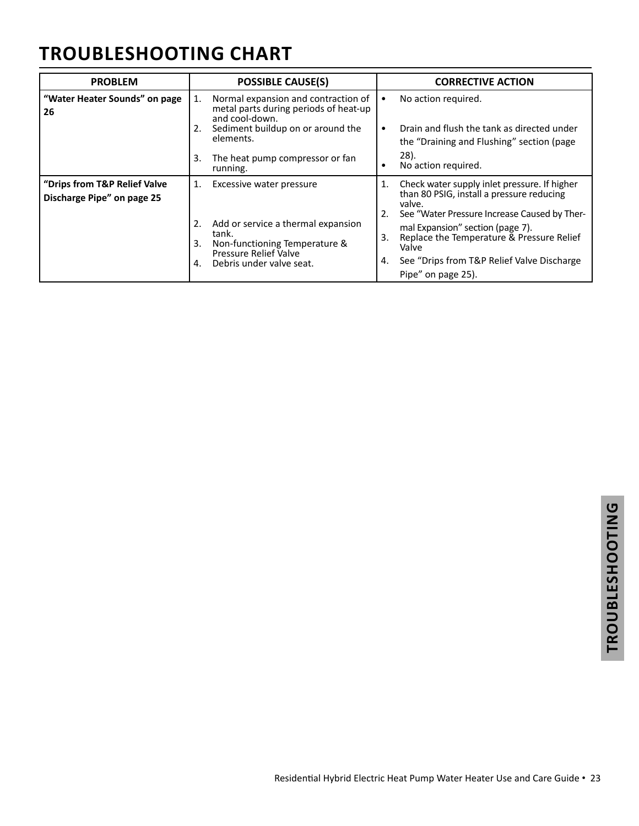## **TROUBLESHOOTING CHART**

| <b>PROBLEM</b>                                             | <b>POSSIBLE CAUSE(S)</b>                                                                                                                                   | <b>CORRECTIVE ACTION</b>                                                                                                                                        |
|------------------------------------------------------------|------------------------------------------------------------------------------------------------------------------------------------------------------------|-----------------------------------------------------------------------------------------------------------------------------------------------------------------|
| "Water Heater Sounds" on page<br>26                        | Normal expansion and contraction of<br>1.<br>metal parts during periods of heat-up<br>and cool-down.<br>Sediment buildup on or around the<br>2.            | No action required.<br>Drain and flush the tank as directed under                                                                                               |
|                                                            | elements.                                                                                                                                                  | the "Draining and Flushing" section (page                                                                                                                       |
|                                                            | 3.<br>The heat pump compressor or fan<br>running.                                                                                                          | $28$ ).<br>No action required.                                                                                                                                  |
| "Drips from T&P Relief Valve<br>Discharge Pipe" on page 25 | Excessive water pressure<br>1.                                                                                                                             | Check water supply inlet pressure. If higher<br>1.<br>than 80 PSIG, install a pressure reducing<br>valve.<br>See "Water Pressure Increase Caused by Ther-<br>2. |
|                                                            | Add or service a thermal expansion<br>2.<br>tank.<br>3.<br>Non-functioning Temperature &<br><b>Pressure Relief Valve</b><br>Debris under valve seat.<br>4. | mal Expansion" section (page 7).<br>Replace the Temperature & Pressure Relief<br>3.<br>Valve<br>See "Drips from T&P Relief Valve Discharge<br>4.                |
|                                                            |                                                                                                                                                            | Pipe" on page 25).                                                                                                                                              |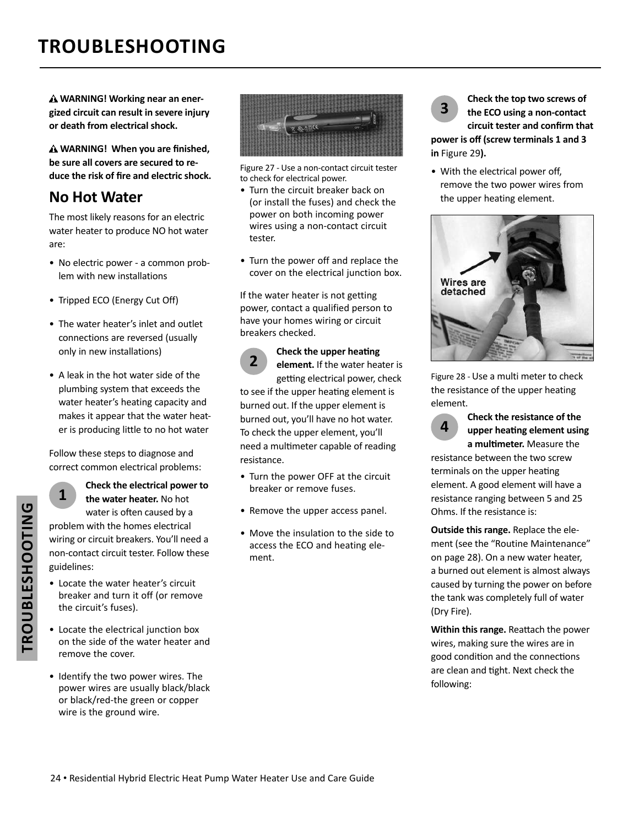## **TROUBLESHOOTING**

 **WARNING! Working near an energized circuit can result in severe injury or death from electrical shock.**

**A WARNING! When you are finished, be sure all covers are secured to re**duce the risk of fire and electric shock.

#### **No Hot Water**

The most likely reasons for an electric water heater to produce NO hot water are:

- No electric power a common problem with new installations
- Tripped ECO (Energy Cut Off)
- The water heater's inlet and outlet connections are reversed (usually only in new installations)
- A leak in the hot water side of the plumbing system that exceeds the water heater's heating capacity and makes it appear that the water heater is producing little to no hot water

Follow these steps to diagnose and correct common electrical problems:

**TROUBLESHOOTING**

**TROUBLESHOOTING** 

**1 Check the electrical power to 1 the water heater.** No bot **the water heater.** No hot water is often caused by a problem with the homes electrical wiring or circuit breakers. You'll need a non-contact circuit tester. Follow these guidelines:

- Locate the water heater's circuit breaker and turn it off (or remove the circuit's fuses).
- Locate the electrical junction box on the side of the water heater and remove the cover.
- Identify the two power wires. The power wires are usually black/black or black/red-the green or copper wire is the ground wire.



Figure 27 - Use a non-contact circuit tester to check for electrical power.

- Turn the circuit breaker back on (or install the fuses) and check the power on both incoming power wires using a non-contact circuit tester.
- Turn the power off and replace the cover on the electrical junction box.

If the water heater is not getting power, contact a qualified person to have your homes wiring or circuit breakers checked.

**2 Check the upper heating**<br> **element.** If the water heater is getting electrical power, check to see if the upper heating element is burned out. If the upper element is burned out, you'll have no hot water. To check the upper element, you'll need a multimeter capable of reading resistance.

- Turn the power OFF at the circuit breaker or remove fuses.
- Remove the upper access panel.
- Move the insulation to the side to access the ECO and heating element.



**3 Check the top two screws of the ECO using a non-contact circuit tester and confirm that power is off (screw terminals 1 and 3 in** Figure 29**).**

• With the electrical power off, remove the two power wires from the upper heating element.



Figure 28 - Use a multi meter to check the resistance of the upper heating element.

**4**

#### **Check the resistance of the upper heaƟ ng element using a multimeter.** Measure the

resistance between the two screw terminals on the upper heating element. A good element will have a resistance ranging between 5 and 25 Ohms. If the resistance is:

**Outside this range.** Replace the element (see the "Routine Maintenance" on page 28). On a new water heater, a burned out element is almost always caused by turning the power on before the tank was completely full of water (Dry Fire).

**Within this range.** Reattach the power wires, making sure the wires are in good condition and the connections are clean and tight. Next check the following: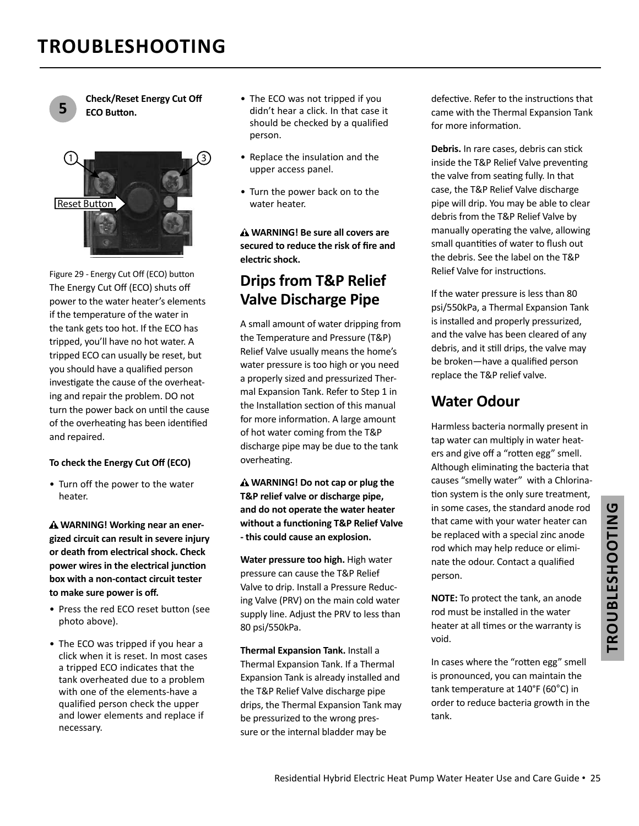## **TROUBLESHOOTING**

**5 Check/Reset Energy Cut Off ECO Button.** 



Figure 29 - Energy Cut Off (ECO) button The Energy Cut Off (ECO) shuts off power to the water heater's elements if the temperature of the water in the tank gets too hot. If the ECO has tripped, you'll have no hot water. A tripped ECO can usually be reset, but you should have a qualified person investigate the cause of the overheating and repair the problem. DO not turn the power back on until the cause of the overheating has been identified and repaired.

#### **To check the Energy Cut Off (ECO)**

• Turn off the power to the water heater.

**WARNING! Working near an energized circuit can result in severe injury or death from electrical shock. Check power wires in the electrical junction box with a non-contact circuit tester to make sure power is off .**

- Press the red ECO reset button (see photo above).
- The ECO was tripped if you hear a click when it is reset. In most cases a tripped ECO indicates that the tank overheated due to a problem with one of the elements-have a qualified person check the upper and lower elements and replace if necessary.
- The ECO was not tripped if you didn't hear a click. In that case it should be checked by a qualified person.
- Replace the insulation and the upper access panel.
- Turn the power back on to the water heater.

**WARNING! Be sure all covers are**  secured to reduce the risk of fire and **electric shock.**

### **Drips from T&P Relief Valve Discharge Pipe**

A small amount of water dripping from the Temperature and Pressure (T&P) Relief Valve usually means the home's water pressure is too high or you need a properly sized and pressurized Thermal Expansion Tank. Refer to Step 1 in the Installation section of this manual for more information. A large amount of hot water coming from the T&P discharge pipe may be due to the tank overheating.

**WARNING! Do not cap or plug the T&P relief valve or discharge pipe, and do not operate the water heater without a functioning T&P Relief Valve - this could cause an explosion.**

**Water pressure too high.** High water pressure can cause the T&P Relief Valve to drip. Install a Pressure Reducing Valve (PRV) on the main cold water supply line. Adjust the PRV to less than 80 psi/550kPa.

 **Thermal Expansion Tank.** Install a Thermal Expansion Tank. If a Thermal Expansion Tank is already installed and the T&P Relief Valve discharge pipe drips, the Thermal Expansion Tank may be pressurized to the wrong pressure or the internal bladder may be

defective. Refer to the instructions that came with the Thermal Expansion Tank for more information.

**Debris.** In rare cases, debris can stick inside the T&P Relief Valve preventing the valve from seating fully. In that case, the T&P Relief Valve discharge pipe will drip. You may be able to clear debris from the T&P Relief Valve by manually operating the valve, allowing small quantities of water to flush out the debris. See the label on the T&P Relief Valve for instructions.

If the water pressure is less than 80 psi/550kPa, a Thermal Expansion Tank is installed and properly pressurized, and the valve has been cleared of any debris, and it still drips, the valve may be broken—have a qualified person replace the T&P relief valve.

#### **Water Odour**

Harmless bacteria normally present in tap water can multiply in water heaters and give off a "rotten egg" smell. Although eliminating the bacteria that causes "smelly water" with a Chlorination system is the only sure treatment, in some cases, the standard anode rod that came with your water heater can be replaced with a special zinc anode rod which may help reduce or eliminate the odour. Contact a qualified person.

**NOTE:** To protect the tank, an anode rod must be installed in the water heater at all times or the warranty is void.

In cases where the "rotten egg" smell is pronounced, you can maintain the tank temperature at 140°F (60°C) in order to reduce bacteria growth in the tank.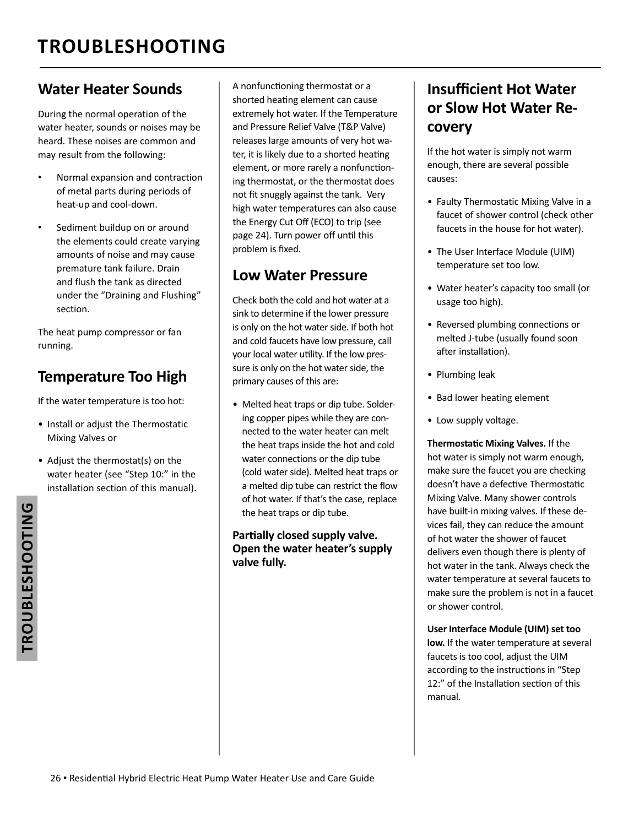### **Water Heater Sounds**

During the normal operation of the water heater, sounds or noises may be heard. These noises are common and may result from the following:

- Normal expansion and contraction of metal parts during periods of heat-up and cool-down.
- Sediment buildup on or around the elements could create varying amounts of noise and may cause premature tank failure. Drain and flush the tank as directed under the "Draining and Flushing" section.

The heat pump compressor or fan running.

### **Temperature Too High**

If the water temperature is too hot:

- Install or adjust the Thermostatic Mixing Valves or
- Adjust the thermostat(s) on the water heater (see "Step 10:" in the installation section of this manual).

**TROUBLESHOOTING TROUBLESHOOTING** A nonfunctioning thermostat or a shorted heating element can cause extremely hot water. If the Temperature and Pressure Relief Valve (T&P Valve) releases large amounts of very hot water, it is likely due to a shorted heating element, or more rarely a nonfunctioning thermostat, or the thermostat does not fit snuggly against the tank. Very high water temperatures can also cause the Energy Cut Off (ECO) to trip (see page 24). Turn power off until this problem is fixed.

### **Low Water Pressure**

Check both the cold and hot water at a sink to determine if the lower pressure is only on the hot water side. If both hot and cold faucets have low pressure, call your local water utility. If the low pressure is only on the hot water side, the primary causes of this are:

• Melted heat traps or dip tube. Soldering copper pipes while they are connected to the water heater can melt the heat traps inside the hot and cold water connections or the dip tube (cold water side). Melted heat traps or a melted dip tube can restrict the flow of hot water. If that's the case, replace the heat traps or dip tube.

**Partially closed supply valve. Open the water heater's supply valve fully.**

### **Insuffi cient Hot Water or Slow Hot Water Recovery**

 If the hot water is simply not warm enough, there are several possible causes:

- Faulty Thermostatic Mixing Valve in a faucet of shower control (check other faucets in the house for hot water).
- The User Interface Module (UIM) temperature set too low.
- Water heater's capacity too small (or usage too high).
- Reversed plumbing connections or melted J-tube (usually found soon after installation).
- Plumbing leak
- Bad lower heating element
- Low supply voltage.

**Thermostatic Mixing Valves.** If the hot water is simply not warm enough, make sure the faucet you are checking doesn't have a defective Thermostatic Mixing Valve. Many shower controls have built-in mixing valves. If these devices fail, they can reduce the amount of hot water the shower of faucet delivers even though there is plenty of hot water in the tank. Always check the water temperature at several faucets to make sure the problem is not in a faucet or shower control.

#### **User Interface Module (UIM) set too**

**low.** If the water temperature at several faucets is too cool, adjust the UIM according to the instructions in "Step 12:" of the Installation section of this manual.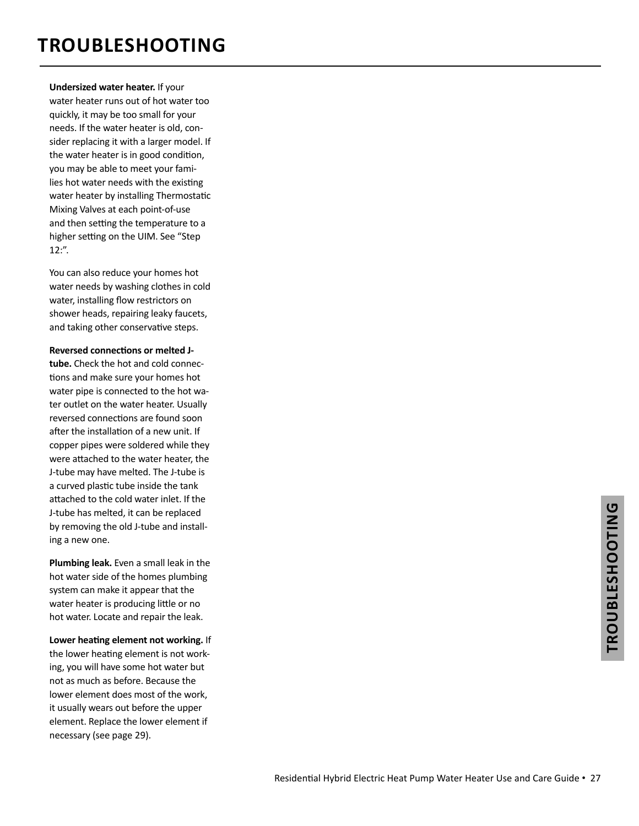## **TROUBLESHOOTING**

**Undersized water heater.** If your water heater runs out of hot water too quickly, it may be too small for your needs. If the water heater is old, consider replacing it with a larger model. If the water heater is in good condition, you may be able to meet your families hot water needs with the existing water heater by installing Thermostatic Mixing Valves at each point-of-use and then setting the temperature to a higher setting on the UIM. See "Step 12:".

You can also reduce your homes hot water needs by washing clothes in cold water, installing flow restrictors on shower heads, repairing leaky faucets, and taking other conservative steps.

#### **Reversed connections or melted J-**

**tube.** Check the hot and cold connections and make sure your homes hot water pipe is connected to the hot water outlet on the water heater. Usually reversed connections are found soon after the installation of a new unit. If copper pipes were soldered while they were attached to the water heater, the J-tube may have melted. The J-tube is a curved plastic tube inside the tank attached to the cold water inlet. If the J-tube has melted, it can be replaced by removing the old J-tube and installing a new one.

**Plumbing leak.** Even a small leak in the hot water side of the homes plumbing system can make it appear that the water heater is producing little or no hot water. Locate and repair the leak.

**Lower heating element not working.** If the lower heating element is not working, you will have some hot water but not as much as before. Because the lower element does most of the work, it usually wears out before the upper element. Replace the lower element if necessary (see page 29).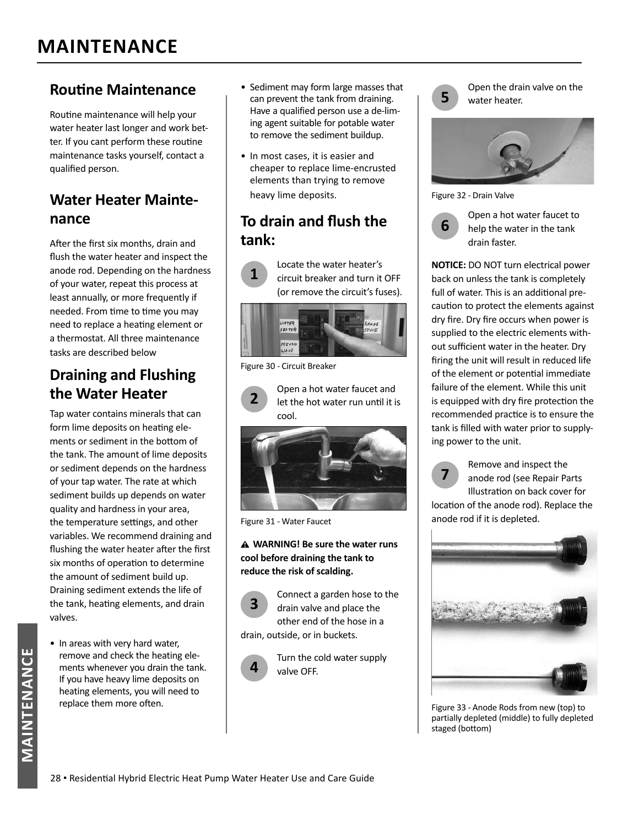### **Routine Maintenance**

Routine maintenance will help your water heater last longer and work better. If you cant perform these routine maintenance tasks yourself, contact a qualified person.

### **Water Heater Maintenance**

After the first six months, drain and flush the water heater and inspect the anode rod. Depending on the hardness of your water, repeat this process at least annually, or more frequently if needed. From time to time you may need to replace a heating element or a thermostat. All three maintenance tasks are described below

### **Draining and Flushing the Water Heater**

Tap water contains minerals that can form lime deposits on heating elements or sediment in the bottom of the tank. The amount of lime deposits or sediment depends on the hardness of your tap water. The rate at which sediment builds up depends on water quality and hardness in your area, the temperature settings, and other variables. We recommend draining and flushing the water heater after the first six months of operation to determine the amount of sediment build up. Draining sediment extends the life of the tank, heating elements, and drain valves.

• In areas with very hard water, remove and check the heating elements whenever you drain the tank. If you have heavy lime deposits on heating elements, you will need to replace them more often.

- Sediment may form large masses that can prevent the tank from draining. Have a qualified person use a de-liming agent suitable for potable water to remove the sediment buildup.
- In most cases, it is easier and cheaper to replace lime-encrusted elements than trying to remove heavy lime deposits.

### **To drain and flush the tank:**

**1** Locate the water heater's circuit breaker and turn it OFF (or remove the circuit's fuses).



Figure 30 - Circuit Breaker



**2** Open a hot water faucet and<br>let the hot water run until it is cool.



Figure 31 - Water Faucet

**WARNING! Be sure the water runs cool before draining the tank to reduce the risk of scalding.**



**3** Connect a garden hose to the drain valve and place the other end of the hose in a drain, outside, or in buckets.

> **4** Turn the cold water supply valve OFF.

**5** Open the drain valve on the water heater.



Figure 32 - Drain Valve



**6** Open a hot water faucet to help the water in the tank drain faster.

**NOTICE:** DO NOT turn electrical power back on unless the tank is completely full of water. This is an additional precaution to protect the elements against dry fire. Dry fire occurs when power is supplied to the electric elements without sufficient water in the heater. Dry firing the unit will result in reduced life of the element or potential immediate failure of the element. While this unit is equipped with dry fire protection the recommended practice is to ensure the tank is filled with water prior to supplying power to the unit.

**7** Remove and inspect the anode rod (see Repair Parts Illustration on back cover for location of the anode rod). Replace the anode rod if it is depleted.



Figure 33 - Anode Rods from new (top) to partially depleted (middle) to fully depleted staged (bottom)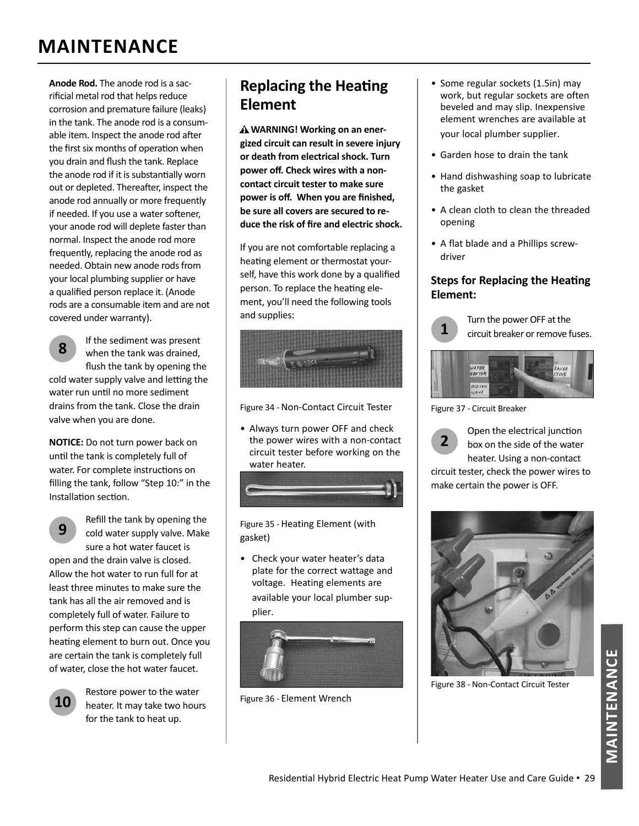## **MAINTENANCE**

 **Anode Rod.** The anode rod is a sacrificial metal rod that helps reduce corrosion and premature failure (leaks) in the tank. The anode rod is a consumable item. Inspect the anode rod after the first six months of operation when you drain and flush the tank. Replace the anode rod if it is substantially worn out or depleted. Thereafter, inspect the anode rod annually or more frequently if needed. If you use a water softener, your anode rod will deplete faster than normal. Inspect the anode rod more frequently, replacing the anode rod as needed. Obtain new anode rods from your local plumbing supplier or have a qualified person replace it. (Anode rods are a consumable item and are not covered under warranty).

**8** If the sediment was present when the tank was drained, flush the tank by opening the cold water supply valve and letting the water run until no more sediment drains from the tank. Close the drain valve when you are done.

**NOTICE:** Do not turn power back on until the tank is completely full of water. For complete instructions on filling the tank, follow "Step 10:" in the Installation section.

**9**

Refill the tank by opening the cold water supply valve. Make sure a hot water faucet is open and the drain valve is closed.

Allow the hot water to run full for at least three minutes to make sure the tank has all the air removed and is completely full of water. Failure to perform this step can cause the upper heating element to burn out. Once you are certain the tank is completely full of water, close the hot water faucet.



**10** Restore power to the water<br>**10** heater. It may take two hours for the tank to heat up.

### **Replacing the Heating Element**

 **WARNING! Working on an energized circuit can result in severe injury or death from electrical shock. Turn power off . Check wires with a noncontact circuit tester to make sure**  power is off. When you are finished, **be sure all covers are secured to re**duce the risk of fire and electric shock.

If you are not comfortable replacing a heating element or thermostat yourself, have this work done by a qualified person. To replace the heating element, you'll need the following tools and supplies:



Figure 34 - Non-Contact Circuit Tester

• Always turn power OFF and check the power wires with a non-contact circuit tester before working on the water heater.



Figure 35 - Heating Element (with gasket)

• Check your water heater's data plate for the correct wattage and voltage. Heating elements are available your local plumber supplier.



Figure 36 - Element Wrench

- Some regular sockets (1.5in) may work, but regular sockets are often beveled and may slip. Inexpensive element wrenches are available at your local plumber supplier.
- Garden hose to drain the tank
- Hand dishwashing soap to lubricate the gasket
- A clean cloth to clean the threaded opening
- A flat blade and a Phillips screwdriver

#### **Steps for Replacing the Heating Element:**



**1** Turn the power OFF at the circuit breaker or remove fuses.



Figure 37 - Circuit Breaker

**2** Open the electrical junction box on the side of the water heater. Using a non-contact

circuit tester, check the power wires to make certain the power is OFF.



Figure 38 - Non-Contact Circuit Tester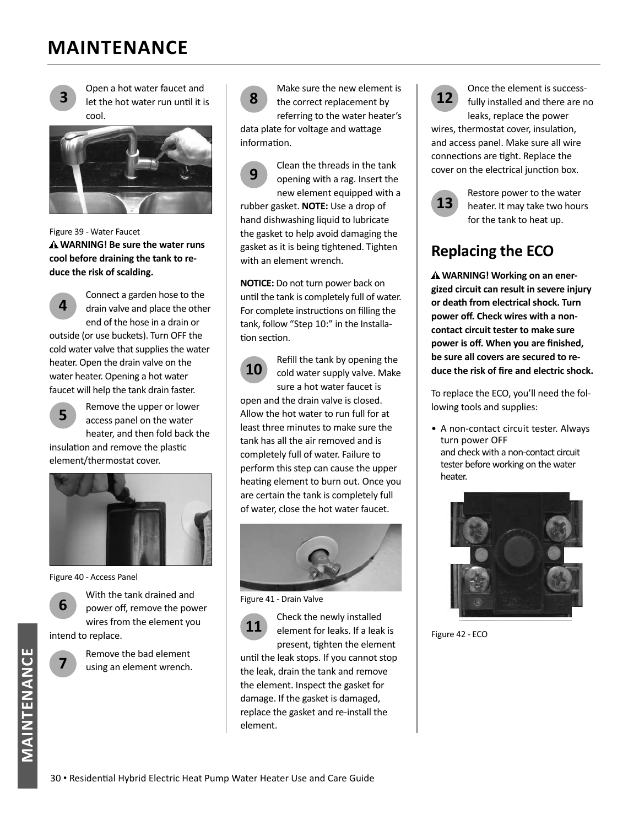## **MAINTENANCE**



**3** Open a hot water faucet and let the hot water run until it is cool.



Figure 39 - Water Faucet  **WARNING! Be sure the water runs** 

**cool before draining the tank to reduce the risk of scalding.**



Connect a garden hose to the drain valve and place the other end of the hose in a drain or outside (or use buckets). Turn OFF the cold water valve that supplies the water heater. Open the drain valve on the water heater. Opening a hot water faucet will help the tank drain faster.



**5** Remove the upper or lower access panel on the water heater, and then fold back the insulation and remove the plastic

element/thermostat cover.



Figure 40 - Access Panel



With the tank drained and power off, remove the power wires from the element you

intend to replace.



Remove the bad element using an element wrench.



Make sure the new element is the correct replacement by referring to the water heater's

data plate for voltage and wattage information.

**9** Clean the threads in the tank opening with a rag. Insert the new element equipped with a rubber gasket. **NOTE:** Use a drop of hand dishwashing liquid to lubricate the gasket to help avoid damaging the gasket as it is being tightened. Tighten with an element wrench.

**NOTICE:** Do not turn power back on until the tank is completely full of water. For complete instructions on filling the tank, follow "Step 10:" in the Installation section.



Refill the tank by opening the cold water supply valve. Make sure a hot water faucet is

open and the drain valve is closed. Allow the hot water to run full for at least three minutes to make sure the tank has all the air removed and is completely full of water. Failure to perform this step can cause the upper heating element to burn out. Once you are certain the tank is completely full of water, close the hot water faucet.



Figure 41 - Drain Valve



element.

**11** Check the newly installed element for leaks. If a leak is present, tighten the element until the leak stops. If you cannot stop the leak, drain the tank and remove the element. Inspect the gasket for damage. If the gasket is damaged, replace the gasket and re-install the



Once the element is successfully installed and there are no leaks, replace the power

wires, thermostat cover, insulation, and access panel. Make sure all wire connections are tight. Replace the cover on the electrical junction box.



**13** Restore power to the water<br>**13** heater. It may take two hours for the tank to heat up.

### **Replacing the ECO**

**WARNING! Working on an energized circuit can result in severe injury or death from electrical shock. Turn power off . Check wires with a noncontact circuit tester to make sure**  power is off. When you are finished, **be sure all covers are secured to re**duce the risk of fire and electric shock.

To replace the ECO, you'll need the following tools and supplies:

• A non-contact circuit tester. Always turn power OFF and check with a non-contact circuit tester before working on the water heater.



Figure 42 - ECO

**WANTENT NATE**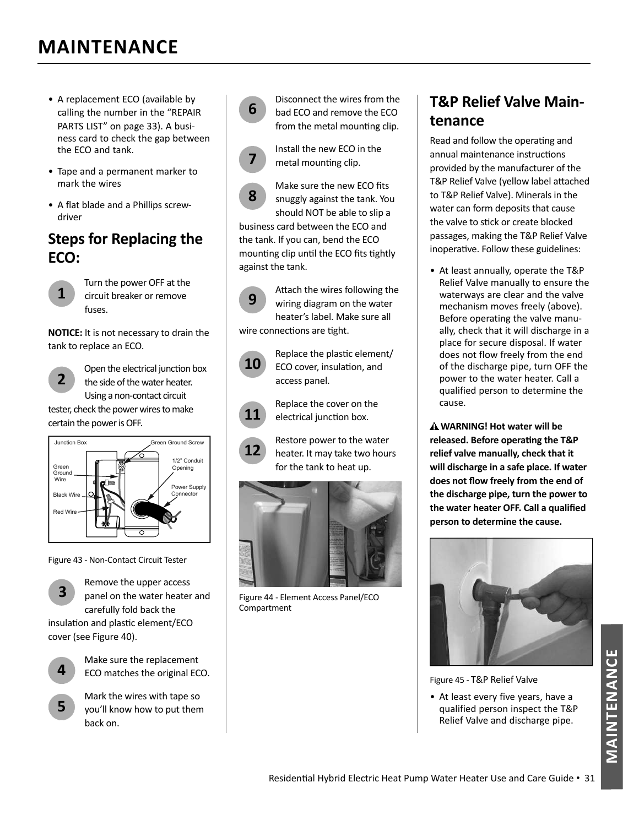## **MAINTENANCE**

- A replacement ECO (available by calling the number in the "REPAIR PARTS LIST" on page 33). A business card to check the gap between the ECO and tank.
- Tape and a permanent marker to mark the wires
- A flat blade and a Phillips screwdriver

### **Steps for Replacing the ECO:**

- **1**
- Turn the power OFF at the circuit breaker or remove fuses.

**NOTICE:** It is not necessary to drain the tank to replace an ECO.



Open the electrical junction box the side of the water heater. Using a non-contact circuit

tester, check the power wires to make certain the power is OFF.



Figure 43 - Non-Contact Circuit Tester



**3** Remove the upper access<br> **3** panel on the water heater and carefully fold back the

insulation and plastic element/ECO cover (see Figure 40).



**5**

- **4** Make sure the replacement<br>**4** ECO matches the original ECO.
	- Mark the wires with tape so you'll know how to put them back on.



Disconnect the wires from the bad ECO and remove the ECO from the metal mounting clip.



Install the new ECO in the metal mounting clip.

**8** Make sure the new ECO fits snuggly against the tank. You should NOT be able to slip a business card between the ECO and the tank. If you can, bend the ECO mounting clip until the ECO fits tightly against the tank.



Attach the wires following the wiring diagram on the water heater's label. Make sure all

wire connections are tight.



**11**

Replace the plastic element/<br> **10** ECO cover, insulation, and access panel.

> Replace the cover on the electrical junction box.

**12** Restore power to the water<br>**12** heater. It may take two hours for the tank to heat up.



Figure 44 - Element Access Panel/ECO Compartment

### **T&P Relief Valve Maintenance**

Read and follow the operating and annual maintenance instructions provided by the manufacturer of the T&P Relief Valve (yellow label attached to T&P Relief Valve). Minerals in the water can form deposits that cause the valve to stick or create blocked passages, making the T&P Relief Valve inoperative. Follow these guidelines:

• At least annually, operate the T&P Relief Valve manually to ensure the waterways are clear and the valve mechanism moves freely (above). Before operating the valve manually, check that it will discharge in a place for secure disposal. If water does not flow freely from the end of the discharge pipe, turn OFF the power to the water heater. Call a qualified person to determine the cause.

**WARNING! Hot water will be released.** Before operating the T&P **relief valve manually, check that it will discharge in a safe place. If water**  does not flow freely from the end of **the discharge pipe, turn the power to**  the water heater OFF. Call a qualified **person to determine the cause.**



Figure 45 - T&P Relief Valve

• At least every five years, have a qualified person inspect the T&P Relief Valve and discharge pipe.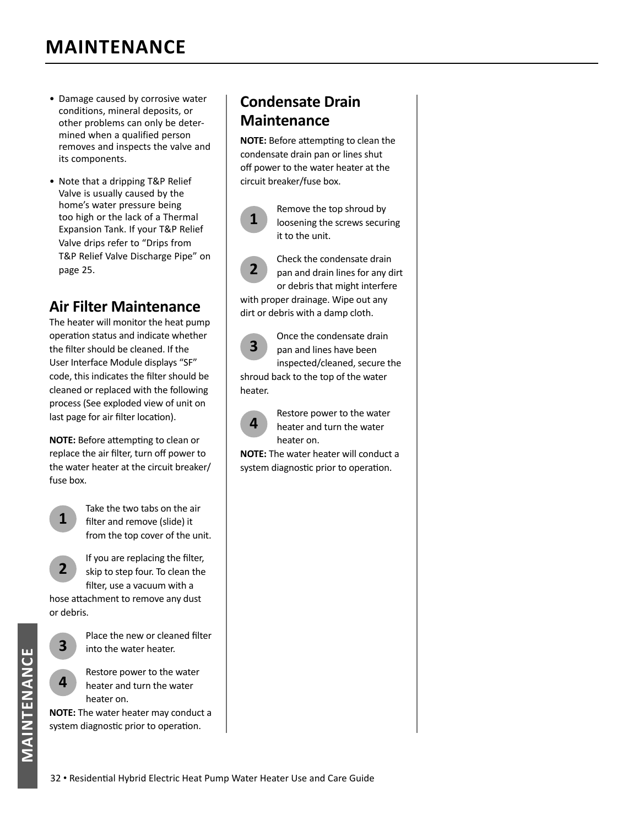- Damage caused by corrosive water conditions, mineral deposits, or other problems can only be determined when a qualified person removes and inspects the valve and its components.
- Note that a dripping T&P Relief Valve is usually caused by the home's water pressure being too high or the lack of a Thermal Expansion Tank. If your T&P Relief Valve drips refer to "Drips from T&P Relief Valve Discharge Pipe" on page 25.

#### **Air Filter Maintenance**

The heater will monitor the heat pump operation status and indicate whether the filter should be cleaned. If the User Interface Module displays "SF" code, this indicates the filter should be cleaned or replaced with the following process (See exploded view of unit on last page for air filter location).

**NOTE:** Before attempting to clean or replace the air filter, turn off power to the water heater at the circuit breaker/ fuse box.

**1**

Take the two tabs on the air filter and remove (slide) it from the top cover of the unit.

**2** If you are replacing the filter,<br> **2** skip to step four. To clean the filter, use a vacuum with a

hose attachment to remove any dust or debris.



**3**

- Place the new or cleaned filter into the water heater.
- **4** Restore power to the water heater and turn the water heater on.

**NOTE:** The water heater may conduct a system diagnostic prior to operation.

### **Condensate Drain Maintenance**

**NOTE:** Before attempting to clean the condensate drain pan or lines shut off power to the water heater at the circuit breaker/fuse box.



**1** Remove the top shroud by<br> **1** loosening the screws securing it to the unit.



Check the condensate drain pan and drain lines for any dirt or debris that might interfere

with proper drainage. Wipe out any dirt or debris with a damp cloth.



Once the condensate drain pan and lines have been inspected/cleaned, secure the

shroud back to the top of the water heater.



**<sup>4</sup>** Restore power to the water heater and turn the water heater on.

**NOTE:** The water heater will conduct a system diagnostic prior to operation.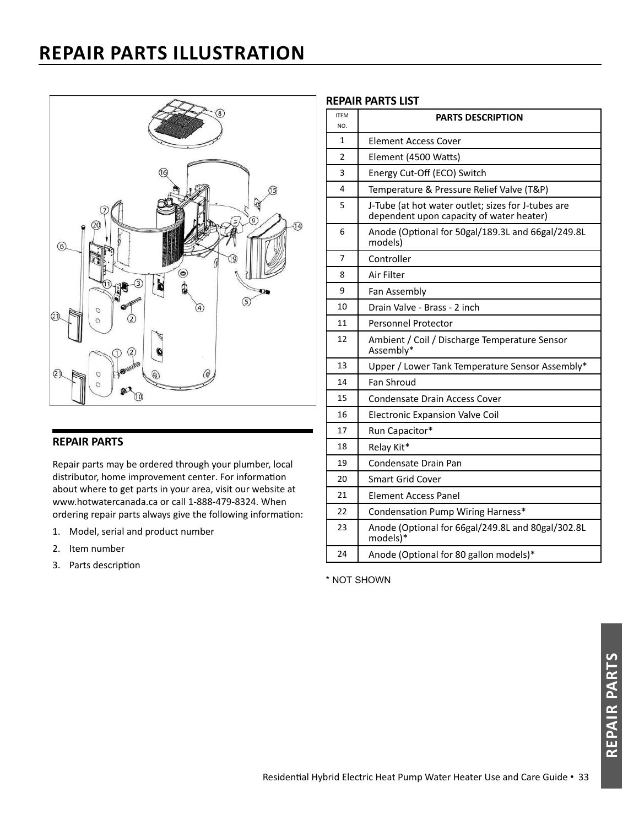## **REPAIR PARTS ILLUSTRATION**



#### **REPAIR PARTS**

Repair parts may be ordered through your plumber, local distributor, home improvement center. For information about where to get parts in your area, visit our website at www.hotwatercanada.ca or call 1-888-479-8324. When ordering repair parts always give the following information:

- 1. Model, serial and product number
- 2. Item number
- 3. Parts description

#### **REPAIR PARTS LIST**

| <b>ITEM</b><br>NO. | <b>PARTS DESCRIPTION</b>                                                                       |
|--------------------|------------------------------------------------------------------------------------------------|
| 1                  | Element Access Cover                                                                           |
| 2                  | Element (4500 Watts)                                                                           |
| 3                  | Energy Cut-Off (ECO) Switch                                                                    |
| 4                  | Temperature & Pressure Relief Valve (T&P)                                                      |
| 5                  | J-Tube (at hot water outlet; sizes for J-tubes are<br>dependent upon capacity of water heater) |
| 6                  | Anode (Optional for 50gal/189.3L and 66gal/249.8L<br>models)                                   |
| 7                  | Controller                                                                                     |
| 8                  | Air Filter                                                                                     |
| 9                  | Fan Assembly                                                                                   |
| 10                 | Drain Valve - Brass - 2 inch                                                                   |
| 11                 | <b>Personnel Protector</b>                                                                     |
| 12                 | Ambient / Coil / Discharge Temperature Sensor<br>Assembly*                                     |
| 13                 | Upper / Lower Tank Temperature Sensor Assembly*                                                |
| 14                 | Fan Shroud                                                                                     |
| 15                 | <b>Condensate Drain Access Cover</b>                                                           |
| 16                 | Electronic Expansion Valve Coil                                                                |
| 17                 | Run Capacitor*                                                                                 |
| 18                 | Relay Kit*                                                                                     |
| 19                 | Condensate Drain Pan                                                                           |
| 20                 | <b>Smart Grid Cover</b>                                                                        |
| 21                 | <b>Element Access Panel</b>                                                                    |
| 22                 | Condensation Pump Wiring Harness*                                                              |
| 23                 | Anode (Optional for 66gal/249.8L and 80gal/302.8L<br>models)*                                  |
| 24                 | Anode (Optional for 80 gallon models)*                                                         |

\* NOT SHOWN